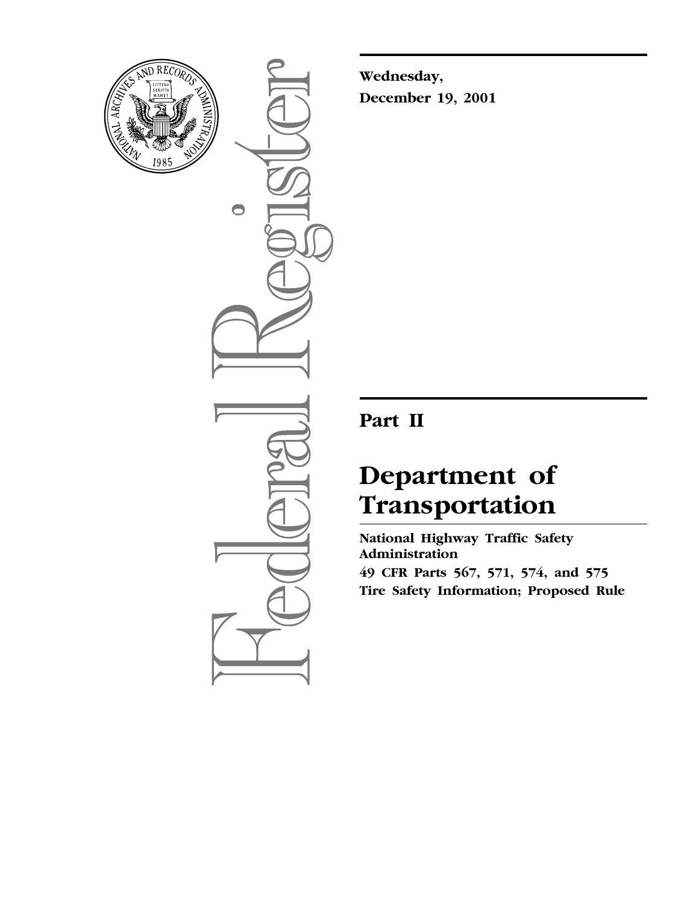

 $\bigcirc$ 

**Wednesday, December 19, 2001**

## **Part II**

# **Department of Transportation**

**National Highway Traffic Safety Administration 49 CFR Parts 567, 571, 574, and 575 Tire Safety Information; Proposed Rule**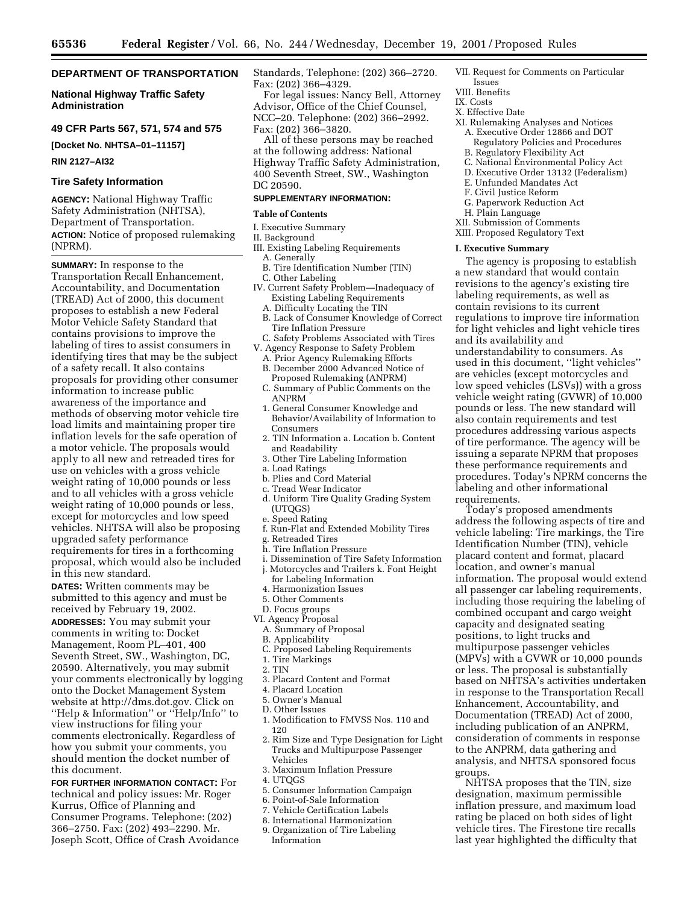## **DEPARTMENT OF TRANSPORTATION**

## **National Highway Traffic Safety Administration**

## **49 CFR Parts 567, 571, 574 and 575**

**[Docket No. NHTSA–01–11157]**

#### **RIN 2127–AI32**

#### **Tire Safety Information**

**AGENCY:** National Highway Traffic Safety Administration (NHTSA), Department of Transportation. **ACTION:** Notice of proposed rulemaking (NPRM).

**SUMMARY:** In response to the Transportation Recall Enhancement, Accountability, and Documentation (TREAD) Act of 2000, this document proposes to establish a new Federal Motor Vehicle Safety Standard that contains provisions to improve the labeling of tires to assist consumers in identifying tires that may be the subject of a safety recall. It also contains proposals for providing other consumer information to increase public awareness of the importance and methods of observing motor vehicle tire load limits and maintaining proper tire inflation levels for the safe operation of a motor vehicle. The proposals would apply to all new and retreaded tires for use on vehicles with a gross vehicle weight rating of 10,000 pounds or less and to all vehicles with a gross vehicle weight rating of 10,000 pounds or less, except for motorcycles and low speed vehicles. NHTSA will also be proposing upgraded safety performance requirements for tires in a forthcoming proposal, which would also be included in this new standard.

**DATES:** Written comments may be submitted to this agency and must be received by February 19, 2002.

**ADDRESSES:** You may submit your comments in writing to: Docket Management, Room PL–401, 400 Seventh Street, SW., Washington, DC, 20590. Alternatively, you may submit your comments electronically by logging onto the Docket Management System website at http://dms.dot.gov. Click on ''Help & Information'' or ''Help/Info'' to view instructions for filing your comments electronically. Regardless of how you submit your comments, you should mention the docket number of this document.

**FOR FURTHER INFORMATION CONTACT:** For technical and policy issues: Mr. Roger Kurrus, Office of Planning and Consumer Programs. Telephone: (202) 366–2750. Fax: (202) 493–2290. Mr. Joseph Scott, Office of Crash Avoidance Standards, Telephone: (202) 366–2720. Fax: (202) 366–4329.

For legal issues: Nancy Bell, Attorney Advisor, Office of the Chief Counsel, NCC–20. Telephone: (202) 366–2992. Fax: (202) 366–3820.

All of these persons may be reached at the following address: National Highway Traffic Safety Administration, 400 Seventh Street, SW., Washington DC 20590.

#### **SUPPLEMENTARY INFORMATION:**

## **Table of Contents**

I. Executive Summary

## II. Background

- III. Existing Labeling Requirements A. Generally
- B. Tire Identification Number (TIN)
- C. Other Labeling
- IV. Current Safety Problem—Inadequacy of Existing Labeling Requirements
	- A. Difficulty Locating the TIN
	- B. Lack of Consumer Knowledge of Correct Tire Inflation Pressure
- C. Safety Problems Associated with Tires V. Agency Response to Safety Problem
- A. Prior Agency Rulemaking Efforts
- B. December 2000 Advanced Notice of Proposed Rulemaking (ANPRM)
- C. Summary of Public Comments on the ANPRM
- 1. General Consumer Knowledge and Behavior/Availability of Information to Consumers
- 2. TIN Information a. Location b. Content and Readability
- 3. Other Tire Labeling Information
- a. Load Ratings
- b. Plies and Cord Material
- c. Tread Wear Indicator
- d. Uniform Tire Quality Grading System (UTQGS)
- e. Speed Rating
- f. Run-Flat and Extended Mobility Tires
- g. Retreaded Tires
- h. Tire Inflation Pressure
- i. Dissemination of Tire Safety Information j. Motorcycles and Trailers k. Font Height for Labeling Information
- 4. Harmonization Issues
- 5. Other Comments
- D. Focus groups
- VI. Agency Proposal
- A. Summary of Proposal
- B. Applicability
- C. Proposed Labeling Requirements
- 1. Tire Markings
- 2. TIN
- 3. Placard Content and Format
- 4. Placard Location
- 5. Owner's Manual
- D. Other Issues
- 1. Modification to FMVSS Nos. 110 and 120
- 2. Rim Size and Type Designation for Light Trucks and Multipurpose Passenger Vehicles
- 3. Maximum Inflation Pressure
- 4. UTQGS
- 5. Consumer Information Campaign
- 6. Point-of-Sale Information
- 7. Vehicle Certification Labels
- 8. International Harmonization
- 9. Organization of Tire Labeling Information
- VII. Request for Comments on Particular Issues
- VIII. Benefits
- IX. Costs
- X. Effective Date
- 
- XI. Rulemaking Analyses and Notices A. Executive Order 12866 and DOT
	- Regulatory Policies and Procedures
	- B. Regulatory Flexibility Act
	- C. National Environmental Policy Act D. Executive Order 13132 (Federalism)
	- E. Unfunded Mandates Act
	- F. Civil Justice Reform
	- G. Paperwork Reduction Act
	- H. Plain Language
- XII. Submission of Comments
- XIII. Proposed Regulatory Text

#### **I. Executive Summary**

The agency is proposing to establish a new standard that would contain revisions to the agency's existing tire labeling requirements, as well as contain revisions to its current regulations to improve tire information for light vehicles and light vehicle tires and its availability and understandability to consumers. As used in this document, ''light vehicles'' are vehicles (except motorcycles and low speed vehicles (LSVs)) with a gross vehicle weight rating (GVWR) of 10,000 pounds or less. The new standard will also contain requirements and test procedures addressing various aspects of tire performance. The agency will be issuing a separate NPRM that proposes these performance requirements and procedures. Today's NPRM concerns the labeling and other informational requirements.

Today's proposed amendments address the following aspects of tire and vehicle labeling: Tire markings, the Tire Identification Number (TIN), vehicle placard content and format, placard location, and owner's manual information. The proposal would extend all passenger car labeling requirements, including those requiring the labeling of combined occupant and cargo weight capacity and designated seating positions, to light trucks and multipurpose passenger vehicles (MPVs) with a GVWR or 10,000 pounds or less. The proposal is substantially based on NHTSA's activities undertaken in response to the Transportation Recall Enhancement, Accountability, and Documentation (TREAD) Act of 2000, including publication of an ANPRM, consideration of comments in response to the ANPRM, data gathering and analysis, and NHTSA sponsored focus groups.

NHTSA proposes that the TIN, size designation, maximum permissible inflation pressure, and maximum load rating be placed on both sides of light vehicle tires. The Firestone tire recalls last year highlighted the difficulty that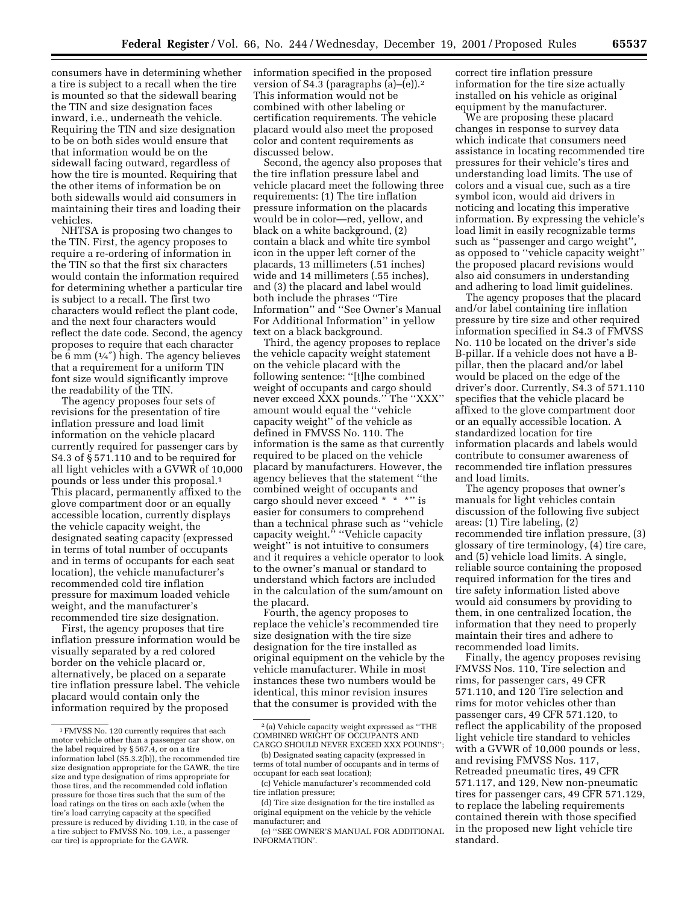consumers have in determining whether a tire is subject to a recall when the tire is mounted so that the sidewall bearing the TIN and size designation faces inward, i.e., underneath the vehicle. Requiring the TIN and size designation to be on both sides would ensure that that information would be on the sidewall facing outward, regardless of how the tire is mounted. Requiring that the other items of information be on both sidewalls would aid consumers in maintaining their tires and loading their vehicles.

NHTSA is proposing two changes to the TIN. First, the agency proposes to require a re-ordering of information in the TIN so that the first six characters would contain the information required for determining whether a particular tire is subject to a recall. The first two characters would reflect the plant code, and the next four characters would reflect the date code. Second, the agency proposes to require that each character be 6 mm  $(1/4)$  high. The agency believes that a requirement for a uniform TIN font size would significantly improve the readability of the TIN.

The agency proposes four sets of revisions for the presentation of tire inflation pressure and load limit information on the vehicle placard currently required for passenger cars by S4.3 of § 571.110 and to be required for all light vehicles with a GVWR of 10,000 pounds or less under this proposal.1 This placard, permanently affixed to the glove compartment door or an equally accessible location, currently displays the vehicle capacity weight, the designated seating capacity (expressed in terms of total number of occupants and in terms of occupants for each seat location), the vehicle manufacturer's recommended cold tire inflation pressure for maximum loaded vehicle weight, and the manufacturer's recommended tire size designation.

First, the agency proposes that tire inflation pressure information would be visually separated by a red colored border on the vehicle placard or, alternatively, be placed on a separate tire inflation pressure label. The vehicle placard would contain only the information required by the proposed

information specified in the proposed version of S4.3 (paragraphs (a)–(e)).2 This information would not be combined with other labeling or certification requirements. The vehicle placard would also meet the proposed color and content requirements as discussed below.

Second, the agency also proposes that the tire inflation pressure label and vehicle placard meet the following three requirements: (1) The tire inflation pressure information on the placards would be in color—red, yellow, and black on a white background, (2) contain a black and white tire symbol icon in the upper left corner of the placards, 13 millimeters (.51 inches) wide and 14 millimeters (.55 inches), and (3) the placard and label would both include the phrases ''Tire Information'' and ''See Owner's Manual For Additional Information'' in yellow text on a black background.

Third, the agency proposes to replace the vehicle capacity weight statement on the vehicle placard with the following sentence: ''[t]he combined weight of occupants and cargo should never exceed XXX pounds.'' The ''XXX'' amount would equal the ''vehicle capacity weight'' of the vehicle as defined in FMVSS No. 110. The information is the same as that currently required to be placed on the vehicle placard by manufacturers. However, the agency believes that the statement ''the combined weight of occupants and cargo should never exceed \* \* \*" is easier for consumers to comprehend than a technical phrase such as ''vehicle capacity weight." "Vehicle capacity weight'' is not intuitive to consumers and it requires a vehicle operator to look to the owner's manual or standard to understand which factors are included in the calculation of the sum/amount on the placard.

Fourth, the agency proposes to replace the vehicle's recommended tire size designation with the tire size designation for the tire installed as original equipment on the vehicle by the vehicle manufacturer. While in most instances these two numbers would be identical, this minor revision insures that the consumer is provided with the

correct tire inflation pressure information for the tire size actually installed on his vehicle as original equipment by the manufacturer.

We are proposing these placard changes in response to survey data which indicate that consumers need assistance in locating recommended tire pressures for their vehicle's tires and understanding load limits. The use of colors and a visual cue, such as a tire symbol icon, would aid drivers in noticing and locating this imperative information. By expressing the vehicle's load limit in easily recognizable terms such as ''passenger and cargo weight'', as opposed to ''vehicle capacity weight'' the proposed placard revisions would also aid consumers in understanding and adhering to load limit guidelines.

The agency proposes that the placard and/or label containing tire inflation pressure by tire size and other required information specified in S4.3 of FMVSS No. 110 be located on the driver's side B-pillar. If a vehicle does not have a Bpillar, then the placard and/or label would be placed on the edge of the driver's door. Currently, S4.3 of 571.110 specifies that the vehicle placard be affixed to the glove compartment door or an equally accessible location. A standardized location for tire information placards and labels would contribute to consumer awareness of recommended tire inflation pressures and load limits.

The agency proposes that owner's manuals for light vehicles contain discussion of the following five subject areas: (1) Tire labeling, (2) recommended tire inflation pressure, (3) glossary of tire terminology, (4) tire care, and (5) vehicle load limits. A single, reliable source containing the proposed required information for the tires and tire safety information listed above would aid consumers by providing to them, in one centralized location, the information that they need to properly maintain their tires and adhere to recommended load limits.

Finally, the agency proposes revising FMVSS Nos. 110, Tire selection and rims, for passenger cars, 49 CFR 571.110, and 120 Tire selection and rims for motor vehicles other than passenger cars, 49 CFR 571.120, to reflect the applicability of the proposed light vehicle tire standard to vehicles with a GVWR of 10,000 pounds or less, and revising FMVSS Nos. 117, Retreaded pneumatic tires, 49 CFR 571.117, and 129, New non-pneumatic tires for passenger cars, 49 CFR 571.129, to replace the labeling requirements contained therein with those specified in the proposed new light vehicle tire standard.

<sup>1</sup>FMVSS No. 120 currently requires that each motor vehicle other than a passenger car show, on the label required by § 567.4, or on a tire information label (S5.3.2(b)), the recommended tire size designation appropriate for the GAWR, the tire size and type designation of rims appropriate for those tires, and the recommended cold inflation pressure for those tires such that the sum of the load ratings on the tires on each axle (when the tire's load carrying capacity at the specified pressure is reduced by dividing 1.10, in the case of a tire subject to FMVSS No. 109, i.e., a passenger car tire) is appropriate for the GAWR.

<sup>2</sup> (a) Vehicle capacity weight expressed as ''THE COMBINED WEIGHT OF OCCUPANTS AND CARGO SHOULD NEVER EXCEED XXX POUNDS'';

<sup>(</sup>b) Designated seating capacity (expressed in terms of total number of occupants and in terms of occupant for each seat location);

<sup>(</sup>c) Vehicle manufacturer's recommended cold tire inflation pressure;

<sup>(</sup>d) Tire size designation for the tire installed as original equipment on the vehicle by the vehicle manufacturer; and

<sup>(</sup>e) ''SEE OWNER'S MANUAL FOR ADDITIONAL INFORMATION'.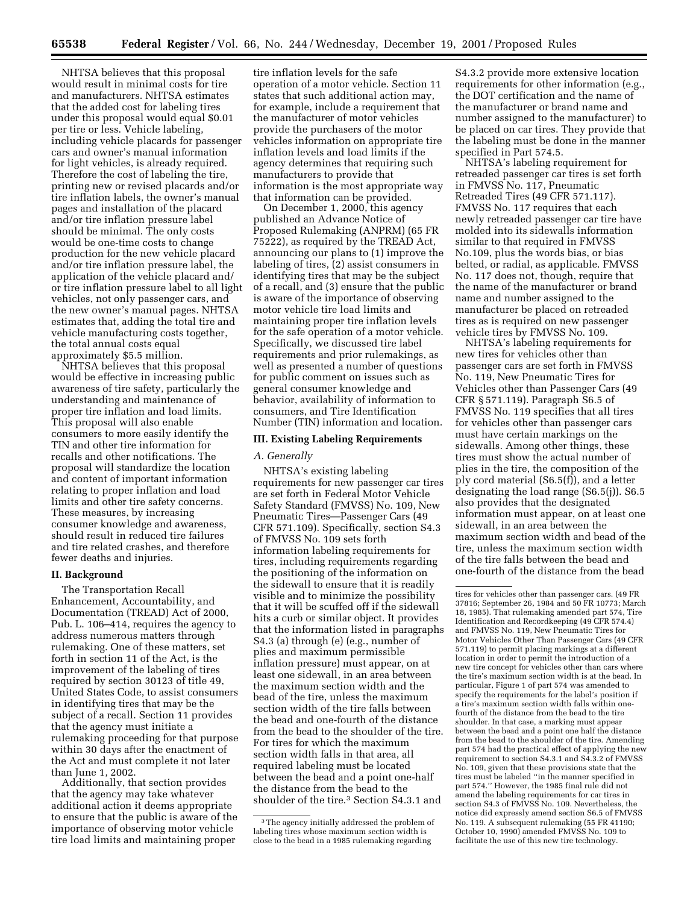NHTSA believes that this proposal would result in minimal costs for tire and manufacturers. NHTSA estimates that the added cost for labeling tires under this proposal would equal \$0.01 per tire or less. Vehicle labeling, including vehicle placards for passenger cars and owner's manual information for light vehicles, is already required. Therefore the cost of labeling the tire, printing new or revised placards and/or tire inflation labels, the owner's manual pages and installation of the placard and/or tire inflation pressure label should be minimal. The only costs would be one-time costs to change production for the new vehicle placard and/or tire inflation pressure label, the application of the vehicle placard and/ or tire inflation pressure label to all light vehicles, not only passenger cars, and the new owner's manual pages. NHTSA estimates that, adding the total tire and vehicle manufacturing costs together, the total annual costs equal approximately \$5.5 million.

NHTSA believes that this proposal would be effective in increasing public awareness of tire safety, particularly the understanding and maintenance of proper tire inflation and load limits. This proposal will also enable consumers to more easily identify the TIN and other tire information for recalls and other notifications. The proposal will standardize the location and content of important information relating to proper inflation and load limits and other tire safety concerns. These measures, by increasing consumer knowledge and awareness, should result in reduced tire failures and tire related crashes, and therefore fewer deaths and injuries.

#### **II. Background**

The Transportation Recall Enhancement, Accountability, and Documentation (TREAD) Act of 2000, Pub. L. 106–414, requires the agency to address numerous matters through rulemaking. One of these matters, set forth in section 11 of the Act, is the improvement of the labeling of tires required by section 30123 of title 49, United States Code, to assist consumers in identifying tires that may be the subject of a recall. Section 11 provides that the agency must initiate a rulemaking proceeding for that purpose within 30 days after the enactment of the Act and must complete it not later than June 1, 2002.

Additionally, that section provides that the agency may take whatever additional action it deems appropriate to ensure that the public is aware of the importance of observing motor vehicle tire load limits and maintaining proper

tire inflation levels for the safe operation of a motor vehicle. Section 11 states that such additional action may, for example, include a requirement that the manufacturer of motor vehicles provide the purchasers of the motor vehicles information on appropriate tire inflation levels and load limits if the agency determines that requiring such manufacturers to provide that information is the most appropriate way that information can be provided.

On December 1, 2000, this agency published an Advance Notice of Proposed Rulemaking (ANPRM) (65 FR 75222), as required by the TREAD Act, announcing our plans to (1) improve the labeling of tires, (2) assist consumers in identifying tires that may be the subject of a recall, and (3) ensure that the public is aware of the importance of observing motor vehicle tire load limits and maintaining proper tire inflation levels for the safe operation of a motor vehicle. Specifically, we discussed tire label requirements and prior rulemakings, as well as presented a number of questions for public comment on issues such as general consumer knowledge and behavior, availability of information to consumers, and Tire Identification Number (TIN) information and location.

#### **III. Existing Labeling Requirements**

## *A. Generally*

NHTSA's existing labeling requirements for new passenger car tires are set forth in Federal Motor Vehicle Safety Standard (FMVSS) No. 109, New Pneumatic Tires—Passenger Cars (49 CFR 571.109). Specifically, section S4.3 of FMVSS No. 109 sets forth information labeling requirements for tires, including requirements regarding the positioning of the information on the sidewall to ensure that it is readily visible and to minimize the possibility that it will be scuffed off if the sidewall hits a curb or similar object. It provides that the information listed in paragraphs S4.3 (a) through (e) (e.g., number of plies and maximum permissible inflation pressure) must appear, on at least one sidewall, in an area between the maximum section width and the bead of the tire, unless the maximum section width of the tire falls between the bead and one-fourth of the distance from the bead to the shoulder of the tire. For tires for which the maximum section width falls in that area, all required labeling must be located between the bead and a point one-half the distance from the bead to the shoulder of the tire.3 Section S4.3.1 and

S4.3.2 provide more extensive location requirements for other information (e.g., the DOT certification and the name of the manufacturer or brand name and number assigned to the manufacturer) to be placed on car tires. They provide that the labeling must be done in the manner specified in Part 574.5.

NHTSA's labeling requirement for retreaded passenger car tires is set forth in FMVSS No. 117, Pneumatic Retreaded Tires (49 CFR 571.117). FMVSS No. 117 requires that each newly retreaded passenger car tire have molded into its sidewalls information similar to that required in FMVSS No.109, plus the words bias, or bias belted, or radial, as applicable. FMVSS No. 117 does not, though, require that the name of the manufacturer or brand name and number assigned to the manufacturer be placed on retreaded tires as is required on new passenger vehicle tires by FMVSS No. 109.

NHTSA's labeling requirements for new tires for vehicles other than passenger cars are set forth in FMVSS No. 119, New Pneumatic Tires for Vehicles other than Passenger Cars (49 CFR § 571.119). Paragraph S6.5 of FMVSS No. 119 specifies that all tires for vehicles other than passenger cars must have certain markings on the sidewalls. Among other things, these tires must show the actual number of plies in the tire, the composition of the ply cord material (S6.5(f)), and a letter designating the load range (S6.5(j)). S6.5 also provides that the designated information must appear, on at least one sidewall, in an area between the maximum section width and bead of the tire, unless the maximum section width of the tire falls between the bead and one-fourth of the distance from the bead

<sup>3</sup>The agency initially addressed the problem of labeling tires whose maximum section width is close to the bead in a 1985 rulemaking regarding

tires for vehicles other than passenger cars. (49 FR 37816; September 26, 1984 and 50 FR 10773; March 18, 1985). That rulemaking amended part 574, Tire Identification and Recordkeeping (49 CFR 574.4) and FMVSS No. 119, New Pneumatic Tires for Motor Vehicles Other Than Passenger Cars (49 CFR 571.119) to permit placing markings at a different location in order to permit the introduction of a new tire concept for vehicles other than cars where the tire's maximum section width is at the bead. In particular, Figure 1 of part 574 was amended to specify the requirements for the label's position if a tire's maximum section width falls within onefourth of the distance from the bead to the tire shoulder. In that case, a marking must appear between the bead and a point one half the distance from the bead to the shoulder of the tire. Amending part 574 had the practical effect of applying the new requirement to section S4.3.1 and S4.3.2 of FMVSS No. 109, given that these provisions state that the tires must be labeled ''in the manner specified in part 574.'' However, the 1985 final rule did not amend the labeling requirements for car tires in section S4.3 of FMVSS No. 109. Nevertheless, the notice did expressly amend section S6.5 of FMVSS No. 119. A subsequent rulemaking (55 FR 41190; October 10, 1990) amended FMVSS No. 109 to facilitate the use of this new tire technology.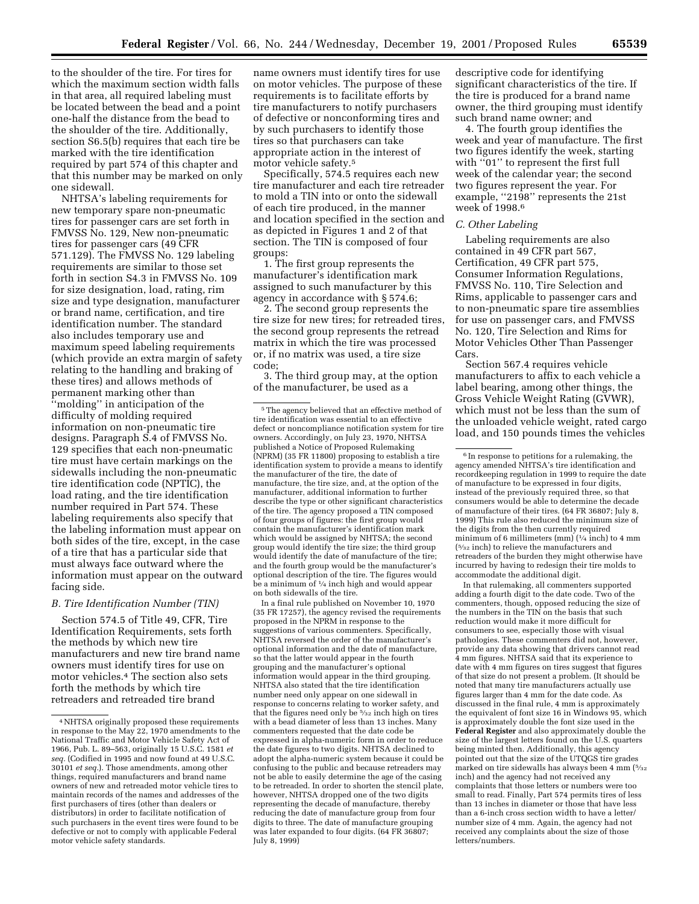to the shoulder of the tire. For tires for which the maximum section width falls in that area, all required labeling must be located between the bead and a point one-half the distance from the bead to the shoulder of the tire. Additionally, section S6.5(b) requires that each tire be marked with the tire identification required by part 574 of this chapter and that this number may be marked on only one sidewall.

NHTSA's labeling requirements for new temporary spare non-pneumatic tires for passenger cars are set forth in FMVSS No. 129, New non-pneumatic tires for passenger cars (49 CFR 571.129). The FMVSS No. 129 labeling requirements are similar to those set forth in section S4.3 in FMVSS No. 109 for size designation, load, rating, rim size and type designation, manufacturer or brand name, certification, and tire identification number. The standard also includes temporary use and maximum speed labeling requirements (which provide an extra margin of safety relating to the handling and braking of these tires) and allows methods of permanent marking other than ''molding'' in anticipation of the difficulty of molding required information on non-pneumatic tire designs. Paragraph S.4 of FMVSS No. 129 specifies that each non-pneumatic tire must have certain markings on the sidewalls including the non-pneumatic tire identification code (NPTIC), the load rating, and the tire identification number required in Part 574. These labeling requirements also specify that the labeling information must appear on both sides of the tire, except, in the case of a tire that has a particular side that must always face outward where the information must appear on the outward facing side.

#### *B. Tire Identification Number (TIN)*

Section 574.5 of Title 49, CFR, Tire Identification Requirements, sets forth the methods by which new tire manufacturers and new tire brand name owners must identify tires for use on motor vehicles.4 The section also sets forth the methods by which tire retreaders and retreaded tire brand

name owners must identify tires for use on motor vehicles. The purpose of these requirements is to facilitate efforts by tire manufacturers to notify purchasers of defective or nonconforming tires and by such purchasers to identify those tires so that purchasers can take appropriate action in the interest of motor vehicle safety.5

Specifically, 574.5 requires each new tire manufacturer and each tire retreader to mold a TIN into or onto the sidewall of each tire produced, in the manner and location specified in the section and as depicted in Figures 1 and 2 of that section. The TIN is composed of four groups:

1. The first group represents the manufacturer's identification mark assigned to such manufacturer by this agency in accordance with § 574.6;

2. The second group represents the tire size for new tires; for retreaded tires, the second group represents the retread matrix in which the tire was processed or, if no matrix was used, a tire size code;

3. The third group may, at the option of the manufacturer, be used as a

In a final rule published on November 10, 1970 (35 FR 17257), the agency revised the requirements proposed in the NPRM in response to the suggestions of various commenters. Specifically, NHTSA reversed the order of the manufacturer's optional information and the date of manufacture, so that the latter would appear in the fourth grouping and the manufacturer's optional information would appear in the third grouping. NHTSA also stated that the tire identification number need only appear on one sidewall in response to concerns relating to worker safety, and that the figures need only be 5⁄32 inch high on tires with a bead diameter of less than 13 inches. Many commenters requested that the date code be expressed in alpha-numeric form in order to reduce the date figures to two digits. NHTSA declined to adopt the alpha-numeric system because it could be confusing to the public and because retreaders may not be able to easily determine the age of the casing to be retreaded. In order to shorten the stencil plate, however, NHTSA dropped one of the two digits representing the decade of manufacture, thereby reducing the date of manufacture group from four digits to three. The date of manufacture grouping was later expanded to four digits. (64 FR 36807; July 8, 1999)

descriptive code for identifying significant characteristics of the tire. If the tire is produced for a brand name owner, the third grouping must identify such brand name owner; and

4. The fourth group identifies the week and year of manufacture. The first two figures identify the week, starting with "01" to represent the first full week of the calendar year; the second two figures represent the year. For example, "2198" represents the 21st week of 1998.6

#### *C. Other Labeling*

Labeling requirements are also contained in 49 CFR part 567, Certification, 49 CFR part 575, Consumer Information Regulations, FMVSS No. 110, Tire Selection and Rims, applicable to passenger cars and to non-pneumatic spare tire assemblies for use on passenger cars, and FMVSS No. 120, Tire Selection and Rims for Motor Vehicles Other Than Passenger Cars.

Section 567.4 requires vehicle manufacturers to affix to each vehicle a label bearing, among other things, the Gross Vehicle Weight Rating (GVWR), which must not be less than the sum of the unloaded vehicle weight, rated cargo load, and 150 pounds times the vehicles

In that rulemaking, all commenters supported adding a fourth digit to the date code. Two of the commenters, though, opposed reducing the size of the numbers in the TIN on the basis that such reduction would make it more difficult for consumers to see, especially those with visual pathologies. These commenters did not, however, provide any data showing that drivers cannot read 4 mm figures. NHTSA said that its experience to date with 4 mm figures on tires suggest that figures of that size do not present a problem. (It should be noted that many tire manufacturers actually use figures larger than 4 mm for the date code. As discussed in the final rule, 4 mm is approximately the equivalent of font size 16 in Windows 95, which is approximately double the font size used in the **Federal Register** and also approximately double the size of the largest letters found on the U.S. quarters being minted then. Additionally, this agency pointed out that the size of the UTQGS tire grades marked on tire sidewalls has always been 4 mm ( $5/32$ inch) and the agency had not received any complaints that those letters or numbers were too small to read. Finally, Part 574 permits tires of less than 13 inches in diameter or those that have less than a 6-inch cross section width to have a letter/ number size of 4 mm. Again, the agency had not received any complaints about the size of those letters/numbers.

<sup>4</sup>NHTSA originally proposed these requirements in response to the May 22, 1970 amendments to the National Traffic and Motor Vehicle Safety Act of 1966, Pub. L. 89–563, originally 15 U.S.C. 1581 *et seq.* (Codified in 1995 and now found at 49 U.S.C. 30101 *et seq.*). Those amendments, among other things, required manufacturers and brand name owners of new and retreaded motor vehicle tires to maintain records of the names and addresses of the first purchasers of tires (other than dealers or distributors) in order to facilitate notification of such purchasers in the event tires were found to be defective or not to comply with applicable Federal motor vehicle safety standards.

<sup>5</sup>The agency believed that an effective method of tire identification was essential to an effective defect or noncompliance notification system for tire owners. Accordingly, on July 23, 1970, NHTSA published a Notice of Proposed Rulemaking (NPRM) (35 FR 11800) proposing to establish a tire identification system to provide a means to identify the manufacturer of the tire, the date of manufacture, the tire size, and, at the option of the manufacturer, additional information to further describe the type or other significant characteristics of the tire. The agency proposed a TIN composed of four groups of figures: the first group would contain the manufacturer's identification mark which would be assigned by NHTSA; the second group would identify the tire size; the third group would identify the date of manufacture of the tire; and the fourth group would be the manufacturer's optional description of the tire. The figures would be a minimum of 1⁄4 inch high and would appear on both sidewalls of the tire.

<sup>6</sup> In response to petitions for a rulemaking, the agency amended NHTSA's tire identification and recordkeeping regulation in 1999 to require the date of manufacture to be expressed in four digits, instead of the previously required three, so that consumers would be able to determine the decade of manufacture of their tires. (64 FR 36807; July 8, 1999) This rule also reduced the minimum size of the digits from the then currently required minimum of 6 millimeters (mm)  $(1/4 \text{ inch})$  to 4 mm (5⁄32 inch) to relieve the manufacturers and retreaders of the burden they might otherwise have incurred by having to redesign their tire molds to accommodate the additional digit.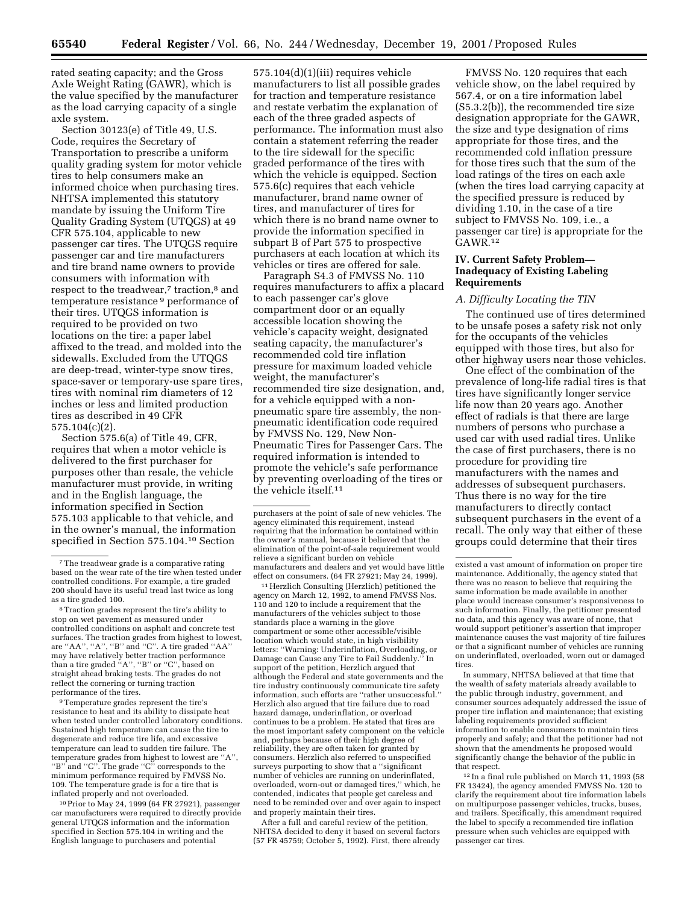rated seating capacity; and the Gross Axle Weight Rating (GAWR), which is the value specified by the manufacturer as the load carrying capacity of a single axle system.

Section 30123(e) of Title 49, U.S. Code, requires the Secretary of Transportation to prescribe a uniform quality grading system for motor vehicle tires to help consumers make an informed choice when purchasing tires. NHTSA implemented this statutory mandate by issuing the Uniform Tire Quality Grading System (UTQGS) at 49 CFR 575.104, applicable to new passenger car tires. The UTQGS require passenger car and tire manufacturers and tire brand name owners to provide consumers with information with respect to the treadwear,<sup>7</sup> traction,<sup>8</sup> and temperature resistance 9 performance of their tires. UTQGS information is required to be provided on two locations on the tire: a paper label affixed to the tread, and molded into the sidewalls. Excluded from the UTQGS are deep-tread, winter-type snow tires, space-saver or temporary-use spare tires, tires with nominal rim diameters of 12 inches or less and limited production tires as described in 49 CFR 575.104(c)(2).

Section 575.6(a) of Title 49, CFR, requires that when a motor vehicle is delivered to the first purchaser for purposes other than resale, the vehicle manufacturer must provide, in writing and in the English language, the information specified in Section 575.103 applicable to that vehicle, and in the owner's manual, the information specified in Section 575.104.10 Section

9Temperature grades represent the tire's resistance to heat and its ability to dissipate heat when tested under controlled laboratory conditions. Sustained high temperature can cause the tire to degenerate and reduce tire life, and excessive temperature can lead to sudden tire failure. The temperature grades from highest to lowest are ''A'', "B" and "C". The grade "C" corresponds to the minimum performance required by FMVSS No. 109. The temperature grade is for a tire that is inflated properly and not overloaded.

10Prior to May 24, 1999 (64 FR 27921), passenger car manufacturers were required to directly provide general UTQGS information and the information specified in Section 575.104 in writing and the English language to purchasers and potential

575.104(d)(1)(iii) requires vehicle manufacturers to list all possible grades for traction and temperature resistance and restate verbatim the explanation of each of the three graded aspects of performance. The information must also contain a statement referring the reader to the tire sidewall for the specific graded performance of the tires with which the vehicle is equipped. Section 575.6(c) requires that each vehicle manufacturer, brand name owner of tires, and manufacturer of tires for which there is no brand name owner to provide the information specified in subpart B of Part 575 to prospective purchasers at each location at which its vehicles or tires are offered for sale.

Paragraph S4.3 of FMVSS No. 110 requires manufacturers to affix a placard to each passenger car's glove compartment door or an equally accessible location showing the vehicle's capacity weight, designated seating capacity, the manufacturer's recommended cold tire inflation pressure for maximum loaded vehicle weight, the manufacturer's recommended tire size designation, and, for a vehicle equipped with a nonpneumatic spare tire assembly, the nonpneumatic identification code required by FMVSS No. 129, New Non-Pneumatic Tires for Passenger Cars. The required information is intended to promote the vehicle's safe performance by preventing overloading of the tires or the vehicle itself.11

11Herzlich Consulting (Herzlich) petitioned the agency on March 12, 1992, to amend FMVSS Nos. 110 and 120 to include a requirement that the manufacturers of the vehicles subject to those standards place a warning in the glove compartment or some other accessible/visible location which would state, in high visibility letters: ''Warning: Underinflation, Overloading, or Damage can Cause any Tire to Fail Suddenly.'' In support of the petition, Herzlich argued that although the Federal and state governments and the tire industry continuously communicate tire safety information, such efforts are ''rather unsuccessful.'' Herzlich also argued that tire failure due to road hazard damage, underinflation, or overload continues to be a problem. He stated that tires are the most important safety component on the vehicle and, perhaps because of their high degree of reliability, they are often taken for granted by consumers. Herzlich also referred to unspecified surveys purporting to show that a ''significant number of vehicles are running on underinflated, overloaded, worn-out or damaged tires,'' which, he contended, indicates that people get careless and need to be reminded over and over again to inspect and properly maintain their tires.

After a full and careful review of the petition, NHTSA decided to deny it based on several factors (57 FR 45759; October 5, 1992). First, there already

FMVSS No. 120 requires that each vehicle show, on the label required by 567.4, or on a tire information label (S5.3.2(b)), the recommended tire size designation appropriate for the GAWR, the size and type designation of rims appropriate for those tires, and the recommended cold inflation pressure for those tires such that the sum of the load ratings of the tires on each axle (when the tires load carrying capacity at the specified pressure is reduced by dividing 1.10, in the case of a tire subject to FMVSS No. 109, i.e., a passenger car tire) is appropriate for the GAWR.<sup>12</sup>

## **IV. Current Safety Problem— Inadequacy of Existing Labeling Requirements**

#### *A. Difficulty Locating the TIN*

The continued use of tires determined to be unsafe poses a safety risk not only for the occupants of the vehicles equipped with those tires, but also for other highway users near those vehicles.

One effect of the combination of the prevalence of long-life radial tires is that tires have significantly longer service life now than 20 years ago. Another effect of radials is that there are large numbers of persons who purchase a used car with used radial tires. Unlike the case of first purchasers, there is no procedure for providing tire manufacturers with the names and addresses of subsequent purchasers. Thus there is no way for the tire manufacturers to directly contact subsequent purchasers in the event of a recall. The only way that either of these groups could determine that their tires

In summary, NHTSA believed at that time that the wealth of safety materials already available to the public through industry, government, and consumer sources adequately addressed the issue of proper tire inflation and maintenance; that existing labeling requirements provided sufficient information to enable consumers to maintain tires properly and safely; and that the petitioner had not shown that the amendments he proposed would significantly change the behavior of the public in that respect.

12 In a final rule published on March 11, 1993 (58 FR 13424), the agency amended FMVSS No. 120 to clarify the requirement about tire information labels on multipurpose passenger vehicles, trucks, buses, and trailers. Specifically, this amendment required the label to specify a recommended tire inflation pressure when such vehicles are equipped with passenger car tires.

<sup>7</sup>The treadwear grade is a comparative rating based on the wear rate of the tire when tested under controlled conditions. For example, a tire graded 200 should have its useful tread last twice as long as a tire graded 100.

<sup>8</sup>Traction grades represent the tire's ability to stop on wet pavement as measured under controlled conditions on asphalt and concrete test surfaces. The traction grades from highest to lowest, are ''AA'', ''A'', ''B'' and ''C''. A tire graded ''AA'' may have relatively better traction performance than a tire graded ''A'', ''B'' or ''C'', based on straight ahead braking tests. The grades do not reflect the cornering or turning traction performance of the tires.

purchasers at the point of sale of new vehicles. The agency eliminated this requirement, instead requiring that the information be contained within the owner's manual, because it believed that the elimination of the point-of-sale requirement would relieve a significant burden on vehicle manufacturers and dealers and yet would have little effect on consumers. (64 FR 27921; May 24, 1999).

existed a vast amount of information on proper tire maintenance. Additionally, the agency stated that there was no reason to believe that requiring the same information be made available in another place would increase consumer's responsiveness to such information. Finally, the petitioner presented no data, and this agency was aware of none, that would support petitioner's assertion that improper maintenance causes the vast majority of tire failures or that a significant number of vehicles are running on underinflated, overloaded, worn out or damaged tires.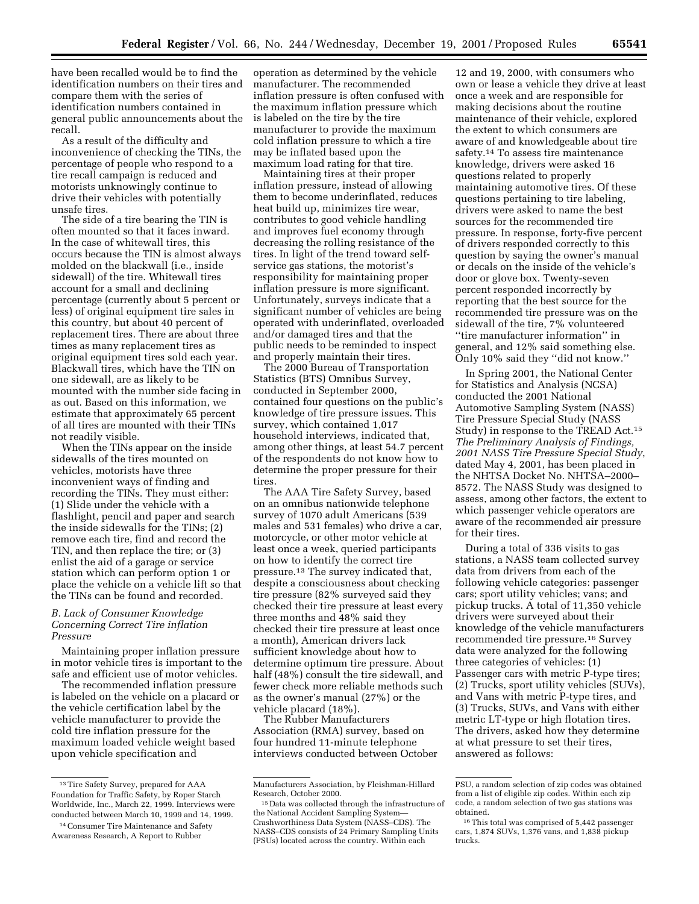have been recalled would be to find the identification numbers on their tires and compare them with the series of identification numbers contained in general public announcements about the recall.

As a result of the difficulty and inconvenience of checking the TINs, the percentage of people who respond to a tire recall campaign is reduced and motorists unknowingly continue to drive their vehicles with potentially unsafe tires.

The side of a tire bearing the TIN is often mounted so that it faces inward. In the case of whitewall tires, this occurs because the TIN is almost always molded on the blackwall (i.e., inside sidewall) of the tire. Whitewall tires account for a small and declining percentage (currently about 5 percent or less) of original equipment tire sales in this country, but about 40 percent of replacement tires. There are about three times as many replacement tires as original equipment tires sold each year. Blackwall tires, which have the TIN on one sidewall, are as likely to be mounted with the number side facing in as out. Based on this information, we estimate that approximately 65 percent of all tires are mounted with their TINs not readily visible.

When the TINs appear on the inside sidewalls of the tires mounted on vehicles, motorists have three inconvenient ways of finding and recording the TINs. They must either: (1) Slide under the vehicle with a flashlight, pencil and paper and search the inside sidewalls for the TINs; (2) remove each tire, find and record the TIN, and then replace the tire; or (3) enlist the aid of a garage or service station which can perform option 1 or place the vehicle on a vehicle lift so that the TINs can be found and recorded.

## *B. Lack of Consumer Knowledge Concerning Correct Tire inflation Pressure*

Maintaining proper inflation pressure in motor vehicle tires is important to the safe and efficient use of motor vehicles.

The recommended inflation pressure is labeled on the vehicle on a placard or the vehicle certification label by the vehicle manufacturer to provide the cold tire inflation pressure for the maximum loaded vehicle weight based upon vehicle specification and

14Consumer Tire Maintenance and Safety Awareness Research, A Report to Rubber

operation as determined by the vehicle manufacturer. The recommended inflation pressure is often confused with the maximum inflation pressure which is labeled on the tire by the tire manufacturer to provide the maximum cold inflation pressure to which a tire may be inflated based upon the maximum load rating for that tire.

Maintaining tires at their proper inflation pressure, instead of allowing them to become underinflated, reduces heat build up, minimizes tire wear, contributes to good vehicle handling and improves fuel economy through decreasing the rolling resistance of the tires. In light of the trend toward selfservice gas stations, the motorist's responsibility for maintaining proper inflation pressure is more significant. Unfortunately, surveys indicate that a significant number of vehicles are being operated with underinflated, overloaded and/or damaged tires and that the public needs to be reminded to inspect and properly maintain their tires.

The 2000 Bureau of Transportation Statistics (BTS) Omnibus Survey, conducted in September 2000, contained four questions on the public's knowledge of tire pressure issues. This survey, which contained 1,017 household interviews, indicated that, among other things, at least 54.7 percent of the respondents do not know how to determine the proper pressure for their tires.

The AAA Tire Safety Survey, based on an omnibus nationwide telephone survey of 1070 adult Americans (539 males and 531 females) who drive a car, motorcycle, or other motor vehicle at least once a week, queried participants on how to identify the correct tire pressure.13 The survey indicated that, despite a consciousness about checking tire pressure (82% surveyed said they checked their tire pressure at least every three months and 48% said they checked their tire pressure at least once a month), American drivers lack sufficient knowledge about how to determine optimum tire pressure. About half (48%) consult the tire sidewall, and fewer check more reliable methods such as the owner's manual (27%) or the vehicle placard (18%).

The Rubber Manufacturers Association (RMA) survey, based on four hundred 11-minute telephone interviews conducted between October

12 and 19, 2000, with consumers who own or lease a vehicle they drive at least once a week and are responsible for making decisions about the routine maintenance of their vehicle, explored the extent to which consumers are aware of and knowledgeable about tire safety.<sup>14</sup> To assess tire maintenance knowledge, drivers were asked 16 questions related to properly maintaining automotive tires. Of these questions pertaining to tire labeling, drivers were asked to name the best sources for the recommended tire pressure. In response, forty-five percent of drivers responded correctly to this question by saying the owner's manual or decals on the inside of the vehicle's door or glove box. Twenty-seven percent responded incorrectly by reporting that the best source for the recommended tire pressure was on the sidewall of the tire, 7% volunteered ''tire manufacturer information'' in general, and 12% said something else. Only 10% said they ''did not know.''

In Spring 2001, the National Center for Statistics and Analysis (NCSA) conducted the 2001 National Automotive Sampling System (NASS) Tire Pressure Special Study (NASS Study) in response to the TREAD Act.15 *The Preliminary Analysis of Findings, 2001 NASS Tire Pressure Special Study*, dated May 4, 2001, has been placed in the NHTSA Docket No. NHTSA–2000– 8572. The NASS Study was designed to assess, among other factors, the extent to which passenger vehicle operators are aware of the recommended air pressure for their tires.

During a total of 336 visits to gas stations, a NASS team collected survey data from drivers from each of the following vehicle categories: passenger cars; sport utility vehicles; vans; and pickup trucks. A total of 11,350 vehicle drivers were surveyed about their knowledge of the vehicle manufacturers recommended tire pressure.16 Survey data were analyzed for the following three categories of vehicles: (1) Passenger cars with metric P-type tires; (2) Trucks, sport utility vehicles (SUVs), and Vans with metric P-type tires, and (3) Trucks, SUVs, and Vans with either metric LT-type or high flotation tires. The drivers, asked how they determine at what pressure to set their tires, answered as follows:

<sup>13</sup>Tire Safety Survey, prepared for AAA Foundation for Traffic Safety, by Roper Starch Worldwide, Inc., March 22, 1999. Interviews were conducted between March 10, 1999 and 14, 1999.

Manufacturers Association, by Fleishman-Hillard Research, October 2000.

<sup>15</sup> Data was collected through the infrastructure of the National Accident Sampling System— Crashworthiness Data System (NASS–CDS). The NASS–CDS consists of 24 Primary Sampling Units (PSUs) located across the country. Within each

PSU, a random selection of zip codes was obtained from a list of eligible zip codes. Within each zip code, a random selection of two gas stations was obtained.

<sup>16</sup>This total was comprised of 5,442 passenger cars, 1,874 SUVs, 1,376 vans, and 1,838 pickup trucks.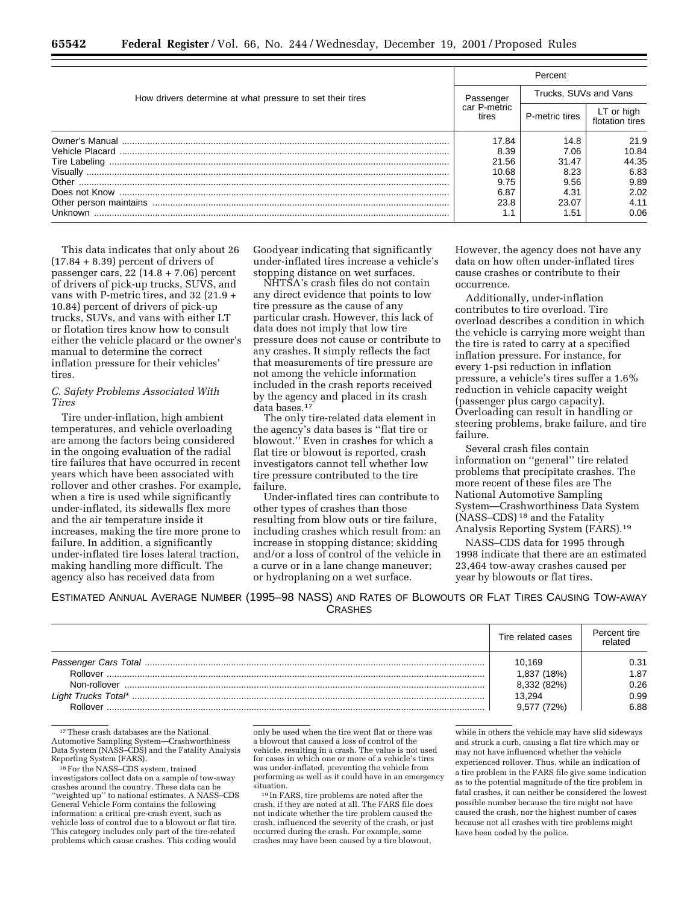| How drivers determine at what pressure to set their tires | Percent                            |                       |                               |
|-----------------------------------------------------------|------------------------------------|-----------------------|-------------------------------|
|                                                           | Passenger<br>car P-metric<br>tires | Trucks, SUVs and Vans |                               |
|                                                           |                                    | P-metric tires        | LT or high<br>flotation tires |
|                                                           | 17.84                              | 14.8                  | 21.9                          |
|                                                           | 8.39                               | 7.06                  | 10.84                         |
|                                                           | 21.56                              | 31.47                 | 44.35                         |
|                                                           | 10.68                              | 8.23                  | 6.83                          |
|                                                           | 9.75                               | 9.56                  | 9.89                          |
|                                                           | 6.87                               | 4.31                  | 2.02                          |
|                                                           | 23.8                               | 23.07                 | 4.11                          |
| Unknown                                                   |                                    | 1.51                  | 0.06                          |

This data indicates that only about 26  $(17.84 + 8.39)$  percent of drivers of passenger cars, 22 (14.8 + 7.06) percent of drivers of pick-up trucks, SUVS, and vans with P-metric tires, and 32 (21.9 + 10.84) percent of drivers of pick-up trucks, SUVs, and vans with either LT or flotation tires know how to consult either the vehicle placard or the owner's manual to determine the correct inflation pressure for their vehicles' tires.

## *C. Safety Problems Associated With Tires*

Tire under-inflation, high ambient temperatures, and vehicle overloading are among the factors being considered in the ongoing evaluation of the radial tire failures that have occurred in recent years which have been associated with rollover and other crashes. For example, when a tire is used while significantly under-inflated, its sidewalls flex more and the air temperature inside it increases, making the tire more prone to failure. In addition, a significantly under-inflated tire loses lateral traction, making handling more difficult. The agency also has received data from

Goodyear indicating that significantly under-inflated tires increase a vehicle's stopping distance on wet surfaces.

NHTSA's crash files do not contain any direct evidence that points to low tire pressure as the cause of any particular crash. However, this lack of data does not imply that low tire pressure does not cause or contribute to any crashes. It simply reflects the fact that measurements of tire pressure are not among the vehicle information included in the crash reports received by the agency and placed in its crash data bases.17

The only tire-related data element in the agency's data bases is ''flat tire or blowout.'' Even in crashes for which a flat tire or blowout is reported, crash investigators cannot tell whether low tire pressure contributed to the tire failure.

Under-inflated tires can contribute to other types of crashes than those resulting from blow outs or tire failure, including crashes which result from: an increase in stopping distance; skidding and/or a loss of control of the vehicle in a curve or in a lane change maneuver; or hydroplaning on a wet surface.

However, the agency does not have any data on how often under-inflated tires cause crashes or contribute to their occurrence.

Additionally, under-inflation contributes to tire overload. Tire overload describes a condition in which the vehicle is carrying more weight than the tire is rated to carry at a specified inflation pressure. For instance, for every 1-psi reduction in inflation pressure, a vehicle's tires suffer a 1.6% reduction in vehicle capacity weight (passenger plus cargo capacity). Overloading can result in handling or steering problems, brake failure, and tire failure.

Several crash files contain information on ''general'' tire related problems that precipitate crashes. The more recent of these files are The National Automotive Sampling System—Crashworthiness Data System (NASS–CDS) 18 and the Fatality Analysis Reporting System (FARS).19

NASS–CDS data for 1995 through 1998 indicate that there are an estimated 23,464 tow-away crashes caused per year by blowouts or flat tires.

ESTIMATED ANNUAL AVERAGE NUMBER (1995–98 NASS) AND RATES OF BLOWOUTS OR FLAT TIRES CAUSING TOW-AWAY **CRASHES** 

|              | Tire related cases | Percent tire<br>related |
|--------------|--------------------|-------------------------|
|              | 10.169             | 0.31                    |
| Rollover     | 1,837 (18%)        | 1.87                    |
| Non-rollover | 8,332 (82%)        | 0.26                    |
|              | 13,294             | 0.99                    |
| Rollover     | 9.577(72%)         | 6.88                    |

17These crash databases are the National Automotive Sampling System—Crashworthiness Data System (NASS–CDS) and the Fatality Analysis Reporting System (FARS).

18For the NASS–CDS system, trained investigators collect data on a sample of tow-away crashes around the country. These data can be 'weighted up'' to national estimates. A NASS–CDS General Vehicle Form contains the following information: a critical pre-crash event, such as vehicle loss of control due to a blowout or flat tire. This category includes only part of the tire-related problems which cause crashes. This coding would

only be used when the tire went flat or there was a blowout that caused a loss of control of the vehicle, resulting in a crash. The value is not used for cases in which one or more of a vehicle's tires was under-inflated, preventing the vehicle from performing as well as it could have in an emergency situation.

19 In FARS, tire problems are noted after the crash, if they are noted at all. The FARS file does not indicate whether the tire problem caused the crash, influenced the severity of the crash, or just occurred during the crash. For example, some crashes may have been caused by a tire blowout,

while in others the vehicle may have slid sideways and struck a curb, causing a flat tire which may or may not have influenced whether the vehicle experienced rollover. Thus, while an indication of a tire problem in the FARS file give some indication as to the potential magnitude of the tire problem in fatal crashes, it can neither be considered the lowest possible number because the tire might not have caused the crash, nor the highest number of cases because not all crashes with tire problems might have been coded by the police.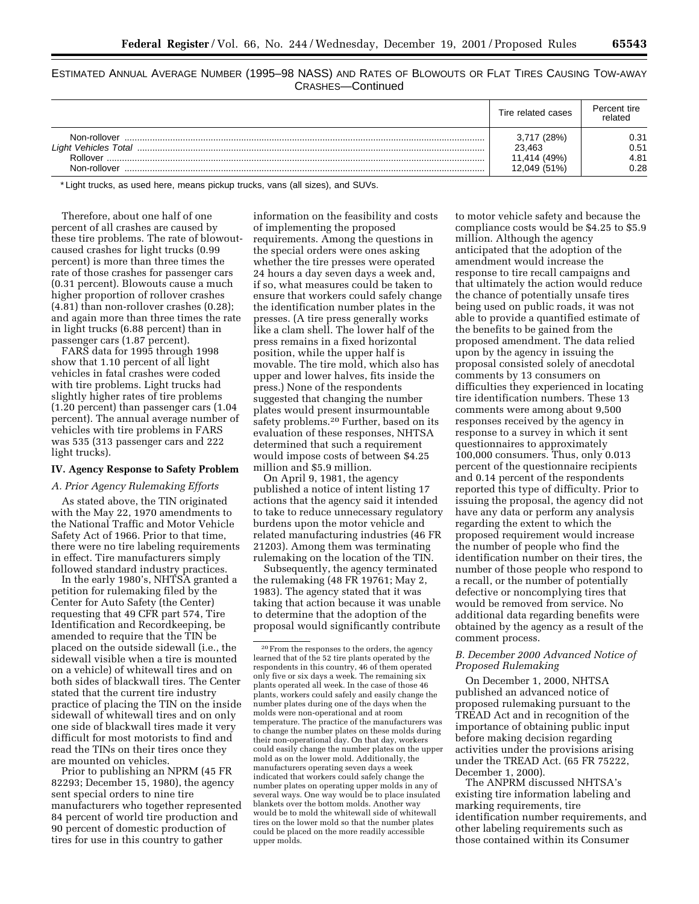ESTIMATED ANNUAL AVERAGE NUMBER (1995–98 NASS) AND RATES OF BLOWOUTS OR FLAT TIRES CAUSING TOW-AWAY CRASHES—Continued

|                                                                         | Tire related cases                                    | Percent tire<br>related      |
|-------------------------------------------------------------------------|-------------------------------------------------------|------------------------------|
| Non-rollover<br><b>Light Vehicles Total</b><br>Rollover<br>Non-rollover | 3,717 (28%)<br>23.463<br>11,414 (49%)<br>12,049 (51%) | 0.31<br>0.51<br>4.81<br>2.28 |

\* Light trucks, as used here, means pickup trucks, vans (all sizes), and SUVs.

Therefore, about one half of one percent of all crashes are caused by these tire problems. The rate of blowoutcaused crashes for light trucks (0.99 percent) is more than three times the rate of those crashes for passenger cars (0.31 percent). Blowouts cause a much higher proportion of rollover crashes (4.81) than non-rollover crashes (0.28); and again more than three times the rate in light trucks (6.88 percent) than in passenger cars (1.87 percent).

FARS data for 1995 through 1998 show that 1.10 percent of all light vehicles in fatal crashes were coded with tire problems. Light trucks had slightly higher rates of tire problems (1.20 percent) than passenger cars (1.04 percent). The annual average number of vehicles with tire problems in FARS was 535 (313 passenger cars and 222 light trucks).

#### **IV. Agency Response to Safety Problem**

#### *A. Prior Agency Rulemaking Efforts*

As stated above, the TIN originated with the May 22, 1970 amendments to the National Traffic and Motor Vehicle Safety Act of 1966. Prior to that time, there were no tire labeling requirements in effect. Tire manufacturers simply followed standard industry practices.

In the early 1980's, NHTSA granted a petition for rulemaking filed by the Center for Auto Safety (the Center) requesting that 49 CFR part 574, Tire Identification and Recordkeeping, be amended to require that the TIN be placed on the outside sidewall (i.e., the sidewall visible when a tire is mounted on a vehicle) of whitewall tires and on both sides of blackwall tires. The Center stated that the current tire industry practice of placing the TIN on the inside sidewall of whitewall tires and on only one side of blackwall tires made it very difficult for most motorists to find and read the TINs on their tires once they are mounted on vehicles.

Prior to publishing an NPRM (45 FR 82293; December 15, 1980), the agency sent special orders to nine tire manufacturers who together represented 84 percent of world tire production and 90 percent of domestic production of tires for use in this country to gather

information on the feasibility and costs of implementing the proposed requirements. Among the questions in the special orders were ones asking whether the tire presses were operated 24 hours a day seven days a week and, if so, what measures could be taken to ensure that workers could safely change the identification number plates in the presses. (A tire press generally works like a clam shell. The lower half of the press remains in a fixed horizontal position, while the upper half is movable. The tire mold, which also has upper and lower halves, fits inside the press.) None of the respondents suggested that changing the number plates would present insurmountable safety problems.<sup>20</sup> Further, based on its evaluation of these responses, NHTSA determined that such a requirement would impose costs of between \$4.25 million and \$5.9 million.

On April 9, 1981, the agency published a notice of intent listing 17 actions that the agency said it intended to take to reduce unnecessary regulatory burdens upon the motor vehicle and related manufacturing industries (46 FR 21203). Among them was terminating rulemaking on the location of the TIN.

Subsequently, the agency terminated the rulemaking (48 FR 19761; May 2, 1983). The agency stated that it was taking that action because it was unable to determine that the adoption of the proposal would significantly contribute

to motor vehicle safety and because the compliance costs would be \$4.25 to \$5.9 million. Although the agency anticipated that the adoption of the amendment would increase the response to tire recall campaigns and that ultimately the action would reduce the chance of potentially unsafe tires being used on public roads, it was not able to provide a quantified estimate of the benefits to be gained from the proposed amendment. The data relied upon by the agency in issuing the proposal consisted solely of anecdotal comments by 13 consumers on difficulties they experienced in locating tire identification numbers. These 13 comments were among about 9,500 responses received by the agency in response to a survey in which it sent questionnaires to approximately 100,000 consumers. Thus, only 0.013 percent of the questionnaire recipients and 0.14 percent of the respondents reported this type of difficulty. Prior to issuing the proposal, the agency did not have any data or perform any analysis regarding the extent to which the proposed requirement would increase the number of people who find the identification number on their tires, the number of those people who respond to a recall, or the number of potentially defective or noncomplying tires that would be removed from service. No additional data regarding benefits were obtained by the agency as a result of the comment process.

## *B. December 2000 Advanced Notice of Proposed Rulemaking*

On December 1, 2000, NHTSA published an advanced notice of proposed rulemaking pursuant to the TREAD Act and in recognition of the importance of obtaining public input before making decision regarding activities under the provisions arising under the TREAD Act. (65 FR 75222, December 1, 2000).

The ANPRM discussed NHTSA's existing tire information labeling and marking requirements, tire identification number requirements, and other labeling requirements such as those contained within its Consumer

<sup>20</sup>From the responses to the orders, the agency learned that of the 52 tire plants operated by the respondents in this country, 46 of them operated only five or six days a week. The remaining six plants operated all week. In the case of those 46 plants, workers could safely and easily change the number plates during one of the days when the molds were non-operational and at room temperature. The practice of the manufacturers was to change the number plates on these molds during their non-operational day. On that day, workers could easily change the number plates on the upper mold as on the lower mold. Additionally, the manufacturers operating seven days a week indicated that workers could safely change the number plates on operating upper molds in any of several ways. One way would be to place insulated blankets over the bottom molds. Another way would be to mold the whitewall side of whitewall tires on the lower mold so that the number plates could be placed on the more readily accessible upper molds.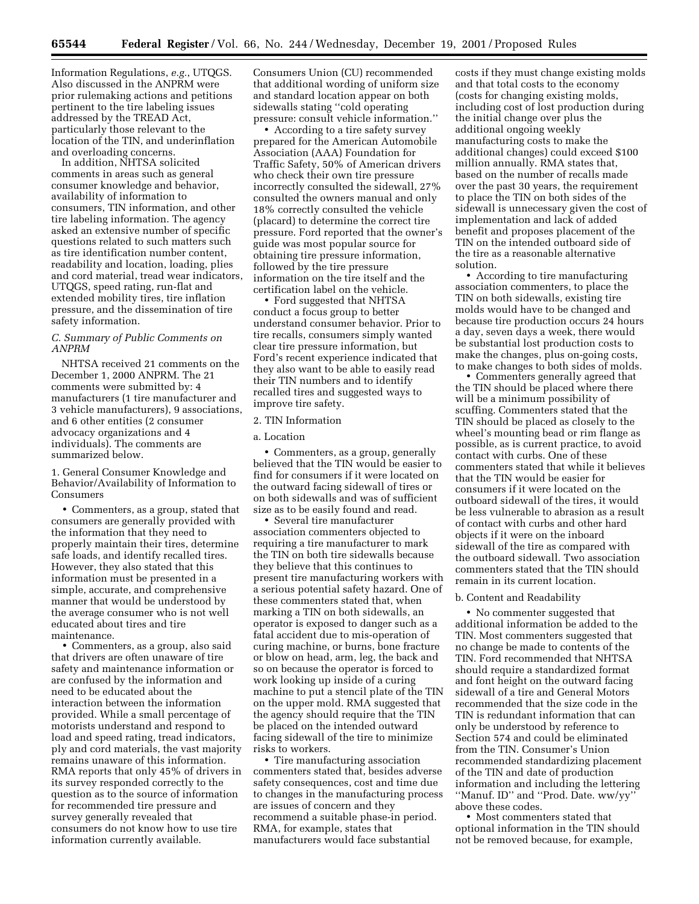Information Regulations, *e.g.*, UTQGS. Also discussed in the ANPRM were prior rulemaking actions and petitions pertinent to the tire labeling issues addressed by the TREAD Act, particularly those relevant to the location of the TIN, and underinflation and overloading concerns.

In addition, NHTSA solicited comments in areas such as general consumer knowledge and behavior, availability of information to consumers, TIN information, and other tire labeling information. The agency asked an extensive number of specific questions related to such matters such as tire identification number content, readability and location, loading, plies and cord material, tread wear indicators, UTQGS, speed rating, run-flat and extended mobility tires, tire inflation pressure, and the dissemination of tire safety information.

## *C. Summary of Public Comments on ANPRM*

NHTSA received 21 comments on the December 1, 2000 ANPRM. The 21 comments were submitted by: 4 manufacturers (1 tire manufacturer and 3 vehicle manufacturers), 9 associations, and 6 other entities (2 consumer advocacy organizations and 4 individuals). The comments are summarized below.

1. General Consumer Knowledge and Behavior/Availability of Information to Consumers

• Commenters, as a group, stated that consumers are generally provided with the information that they need to properly maintain their tires, determine safe loads, and identify recalled tires. However, they also stated that this information must be presented in a simple, accurate, and comprehensive manner that would be understood by the average consumer who is not well educated about tires and tire maintenance.

• Commenters, as a group, also said that drivers are often unaware of tire safety and maintenance information or are confused by the information and need to be educated about the interaction between the information provided. While a small percentage of motorists understand and respond to load and speed rating, tread indicators, ply and cord materials, the vast majority remains unaware of this information. RMA reports that only 45% of drivers in its survey responded correctly to the question as to the source of information for recommended tire pressure and survey generally revealed that consumers do not know how to use tire information currently available.

Consumers Union (CU) recommended that additional wording of uniform size and standard location appear on both sidewalls stating ''cold operating pressure: consult vehicle information.''

• According to a tire safety survey prepared for the American Automobile Association (AAA) Foundation for Traffic Safety, 50% of American drivers who check their own tire pressure incorrectly consulted the sidewall, 27% consulted the owners manual and only 18% correctly consulted the vehicle (placard) to determine the correct tire pressure. Ford reported that the owner's guide was most popular source for obtaining tire pressure information, followed by the tire pressure information on the tire itself and the certification label on the vehicle.

• Ford suggested that NHTSA conduct a focus group to better understand consumer behavior. Prior to tire recalls, consumers simply wanted clear tire pressure information, but Ford's recent experience indicated that they also want to be able to easily read their TIN numbers and to identify recalled tires and suggested ways to improve tire safety.

#### 2. TIN Information

#### a. Location

• Commenters, as a group, generally believed that the TIN would be easier to find for consumers if it were located on the outward facing sidewall of tires or on both sidewalls and was of sufficient size as to be easily found and read.

• Several tire manufacturer association commenters objected to requiring a tire manufacturer to mark the TIN on both tire sidewalls because they believe that this continues to present tire manufacturing workers with a serious potential safety hazard. One of these commenters stated that, when marking a TIN on both sidewalls, an operator is exposed to danger such as a fatal accident due to mis-operation of curing machine, or burns, bone fracture or blow on head, arm, leg, the back and so on because the operator is forced to work looking up inside of a curing machine to put a stencil plate of the TIN on the upper mold. RMA suggested that the agency should require that the TIN be placed on the intended outward facing sidewall of the tire to minimize risks to workers.

• Tire manufacturing association commenters stated that, besides adverse safety consequences, cost and time due to changes in the manufacturing process are issues of concern and they recommend a suitable phase-in period. RMA, for example, states that manufacturers would face substantial

costs if they must change existing molds and that total costs to the economy (costs for changing existing molds, including cost of lost production during the initial change over plus the additional ongoing weekly manufacturing costs to make the additional changes) could exceed \$100 million annually. RMA states that, based on the number of recalls made over the past 30 years, the requirement to place the TIN on both sides of the sidewall is unnecessary given the cost of implementation and lack of added benefit and proposes placement of the TIN on the intended outboard side of the tire as a reasonable alternative solution.

• According to tire manufacturing association commenters, to place the TIN on both sidewalls, existing tire molds would have to be changed and because tire production occurs 24 hours a day, seven days a week, there would be substantial lost production costs to make the changes, plus on-going costs, to make changes to both sides of molds.

• Commenters generally agreed that the TIN should be placed where there will be a minimum possibility of scuffing. Commenters stated that the TIN should be placed as closely to the wheel's mounting bead or rim flange as possible, as is current practice, to avoid contact with curbs. One of these commenters stated that while it believes that the TIN would be easier for consumers if it were located on the outboard sidewall of the tires, it would be less vulnerable to abrasion as a result of contact with curbs and other hard objects if it were on the inboard sidewall of the tire as compared with the outboard sidewall. Two association commenters stated that the TIN should remain in its current location.

#### b. Content and Readability

• No commenter suggested that additional information be added to the TIN. Most commenters suggested that no change be made to contents of the TIN. Ford recommended that NHTSA should require a standardized format and font height on the outward facing sidewall of a tire and General Motors recommended that the size code in the TIN is redundant information that can only be understood by reference to Section 574 and could be eliminated from the TIN. Consumer's Union recommended standardizing placement of the TIN and date of production information and including the lettering ''Manuf. ID'' and ''Prod. Date. ww/yy'' above these codes.

• Most commenters stated that optional information in the TIN should not be removed because, for example,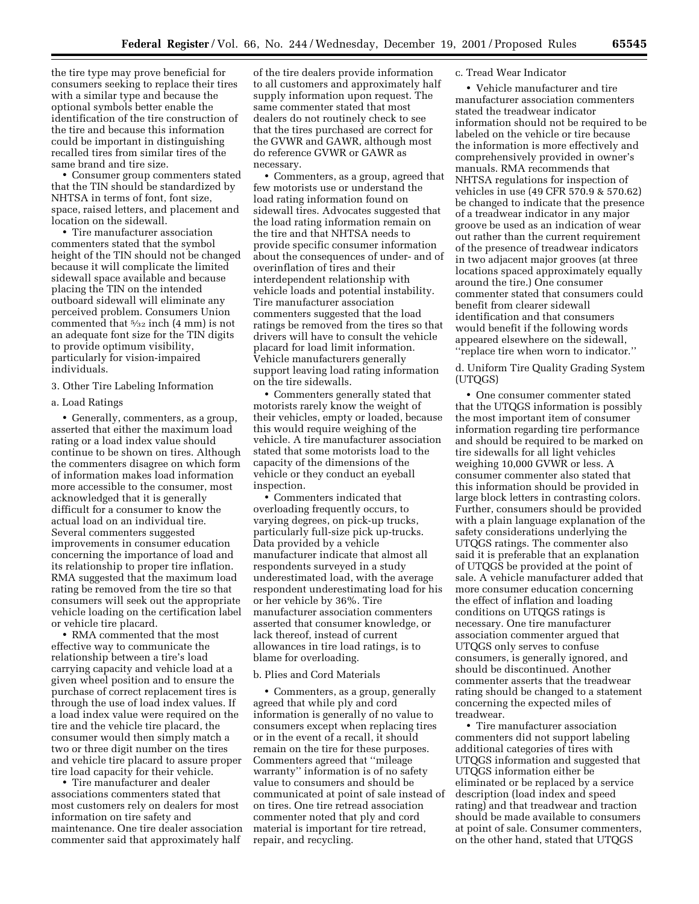the tire type may prove beneficial for consumers seeking to replace their tires with a similar type and because the optional symbols better enable the identification of the tire construction of the tire and because this information could be important in distinguishing recalled tires from similar tires of the same brand and tire size.

• Consumer group commenters stated that the TIN should be standardized by NHTSA in terms of font, font size, space, raised letters, and placement and location on the sidewall.

• Tire manufacturer association commenters stated that the symbol height of the TIN should not be changed because it will complicate the limited sidewall space available and because placing the TIN on the intended outboard sidewall will eliminate any perceived problem. Consumers Union commented that 5⁄32 inch (4 mm) is not an adequate font size for the TIN digits to provide optimum visibility, particularly for vision-impaired individuals.

## 3. Other Tire Labeling Information

#### a. Load Ratings

• Generally, commenters, as a group, asserted that either the maximum load rating or a load index value should continue to be shown on tires. Although the commenters disagree on which form of information makes load information more accessible to the consumer, most acknowledged that it is generally difficult for a consumer to know the actual load on an individual tire. Several commenters suggested improvements in consumer education concerning the importance of load and its relationship to proper tire inflation. RMA suggested that the maximum load rating be removed from the tire so that consumers will seek out the appropriate vehicle loading on the certification label or vehicle tire placard.

• RMA commented that the most effective way to communicate the relationship between a tire's load carrying capacity and vehicle load at a given wheel position and to ensure the purchase of correct replacement tires is through the use of load index values. If a load index value were required on the tire and the vehicle tire placard, the consumer would then simply match a two or three digit number on the tires and vehicle tire placard to assure proper tire load capacity for their vehicle.

• Tire manufacturer and dealer associations commenters stated that most customers rely on dealers for most information on tire safety and maintenance. One tire dealer association commenter said that approximately half

of the tire dealers provide information to all customers and approximately half supply information upon request. The same commenter stated that most dealers do not routinely check to see that the tires purchased are correct for the GVWR and GAWR, although most do reference GVWR or GAWR as necessary.

• Commenters, as a group, agreed that few motorists use or understand the load rating information found on sidewall tires. Advocates suggested that the load rating information remain on the tire and that NHTSA needs to provide specific consumer information about the consequences of under- and of overinflation of tires and their interdependent relationship with vehicle loads and potential instability. Tire manufacturer association commenters suggested that the load ratings be removed from the tires so that drivers will have to consult the vehicle placard for load limit information. Vehicle manufacturers generally support leaving load rating information on the tire sidewalls.

• Commenters generally stated that motorists rarely know the weight of their vehicles, empty or loaded, because this would require weighing of the vehicle. A tire manufacturer association stated that some motorists load to the capacity of the dimensions of the vehicle or they conduct an eyeball inspection.

• Commenters indicated that overloading frequently occurs, to varying degrees, on pick-up trucks, particularly full-size pick up-trucks. Data provided by a vehicle manufacturer indicate that almost all respondents surveyed in a study underestimated load, with the average respondent underestimating load for his or her vehicle by 36%. Tire manufacturer association commenters asserted that consumer knowledge, or lack thereof, instead of current allowances in tire load ratings, is to blame for overloading.

#### b. Plies and Cord Materials

• Commenters, as a group, generally agreed that while ply and cord information is generally of no value to consumers except when replacing tires or in the event of a recall, it should remain on the tire for these purposes. Commenters agreed that ''mileage warranty'' information is of no safety value to consumers and should be communicated at point of sale instead of on tires. One tire retread association commenter noted that ply and cord material is important for tire retread, repair, and recycling.

## c. Tread Wear Indicator

• Vehicle manufacturer and tire manufacturer association commenters stated the treadwear indicator information should not be required to be labeled on the vehicle or tire because the information is more effectively and comprehensively provided in owner's manuals. RMA recommends that NHTSA regulations for inspection of vehicles in use (49 CFR 570.9 & 570.62) be changed to indicate that the presence of a treadwear indicator in any major groove be used as an indication of wear out rather than the current requirement of the presence of treadwear indicators in two adjacent major grooves (at three locations spaced approximately equally around the tire.) One consumer commenter stated that consumers could benefit from clearer sidewall identification and that consumers would benefit if the following words appeared elsewhere on the sidewall, ''replace tire when worn to indicator.''

d. Uniform Tire Quality Grading System (UTQGS)

• One consumer commenter stated that the UTQGS information is possibly the most important item of consumer information regarding tire performance and should be required to be marked on tire sidewalls for all light vehicles weighing 10,000 GVWR or less. A consumer commenter also stated that this information should be provided in large block letters in contrasting colors. Further, consumers should be provided with a plain language explanation of the safety considerations underlying the UTQGS ratings. The commenter also said it is preferable that an explanation of UTQGS be provided at the point of sale. A vehicle manufacturer added that more consumer education concerning the effect of inflation and loading conditions on UTQGS ratings is necessary. One tire manufacturer association commenter argued that UTQGS only serves to confuse consumers, is generally ignored, and should be discontinued. Another commenter asserts that the treadwear rating should be changed to a statement concerning the expected miles of treadwear.

• Tire manufacturer association commenters did not support labeling additional categories of tires with UTQGS information and suggested that UTQGS information either be eliminated or be replaced by a service description (load index and speed rating) and that treadwear and traction should be made available to consumers at point of sale. Consumer commenters, on the other hand, stated that UTQGS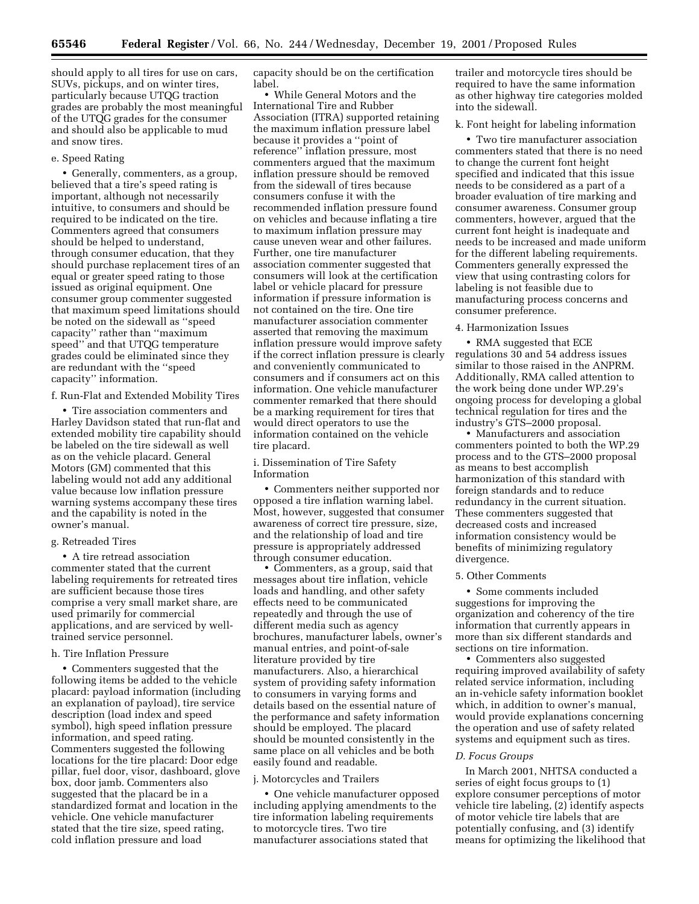should apply to all tires for use on cars, SUVs, pickups, and on winter tires, particularly because UTQG traction grades are probably the most meaningful of the UTQG grades for the consumer and should also be applicable to mud and snow tires.

#### e. Speed Rating

• Generally, commenters, as a group, believed that a tire's speed rating is important, although not necessarily intuitive, to consumers and should be required to be indicated on the tire. Commenters agreed that consumers should be helped to understand, through consumer education, that they should purchase replacement tires of an equal or greater speed rating to those issued as original equipment. One consumer group commenter suggested that maximum speed limitations should be noted on the sidewall as ''speed capacity'' rather than ''maximum speed'' and that UTQG temperature grades could be eliminated since they are redundant with the ''speed capacity'' information.

f. Run-Flat and Extended Mobility Tires

• Tire association commenters and Harley Davidson stated that run-flat and extended mobility tire capability should be labeled on the tire sidewall as well as on the vehicle placard. General Motors (GM) commented that this labeling would not add any additional value because low inflation pressure warning systems accompany these tires and the capability is noted in the owner's manual.

#### g. Retreaded Tires

• A tire retread association commenter stated that the current labeling requirements for retreated tires are sufficient because those tires comprise a very small market share, are used primarily for commercial applications, and are serviced by welltrained service personnel.

#### h. Tire Inflation Pressure

• Commenters suggested that the following items be added to the vehicle placard: payload information (including an explanation of payload), tire service description (load index and speed symbol), high speed inflation pressure information, and speed rating. Commenters suggested the following locations for the tire placard: Door edge pillar, fuel door, visor, dashboard, glove box, door jamb. Commenters also suggested that the placard be in a standardized format and location in the vehicle. One vehicle manufacturer stated that the tire size, speed rating, cold inflation pressure and load

capacity should be on the certification label.

• While General Motors and the International Tire and Rubber Association (ITRA) supported retaining the maximum inflation pressure label because it provides a ''point of reference'' inflation pressure, most commenters argued that the maximum inflation pressure should be removed from the sidewall of tires because consumers confuse it with the recommended inflation pressure found on vehicles and because inflating a tire to maximum inflation pressure may cause uneven wear and other failures. Further, one tire manufacturer association commenter suggested that consumers will look at the certification label or vehicle placard for pressure information if pressure information is not contained on the tire. One tire manufacturer association commenter asserted that removing the maximum inflation pressure would improve safety if the correct inflation pressure is clearly and conveniently communicated to consumers and if consumers act on this information. One vehicle manufacturer commenter remarked that there should be a marking requirement for tires that would direct operators to use the information contained on the vehicle tire placard.

i. Dissemination of Tire Safety Information

• Commenters neither supported nor opposed a tire inflation warning label. Most, however, suggested that consumer awareness of correct tire pressure, size, and the relationship of load and tire pressure is appropriately addressed through consumer education.

• Commenters, as a group, said that messages about tire inflation, vehicle loads and handling, and other safety effects need to be communicated repeatedly and through the use of different media such as agency brochures, manufacturer labels, owner's manual entries, and point-of-sale literature provided by tire manufacturers. Also, a hierarchical system of providing safety information to consumers in varying forms and details based on the essential nature of the performance and safety information should be employed. The placard should be mounted consistently in the same place on all vehicles and be both easily found and readable.

#### j. Motorcycles and Trailers

• One vehicle manufacturer opposed including applying amendments to the tire information labeling requirements to motorcycle tires. Two tire manufacturer associations stated that

trailer and motorcycle tires should be required to have the same information as other highway tire categories molded into the sidewall.

k. Font height for labeling information

• Two tire manufacturer association commenters stated that there is no need to change the current font height specified and indicated that this issue needs to be considered as a part of a broader evaluation of tire marking and consumer awareness. Consumer group commenters, however, argued that the current font height is inadequate and needs to be increased and made uniform for the different labeling requirements. Commenters generally expressed the view that using contrasting colors for labeling is not feasible due to manufacturing process concerns and consumer preference.

#### 4. Harmonization Issues

• RMA suggested that ECE regulations 30 and 54 address issues similar to those raised in the ANPRM. Additionally, RMA called attention to the work being done under WP.29's ongoing process for developing a global technical regulation for tires and the industry's GTS–2000 proposal.

• Manufacturers and association commenters pointed to both the WP.29 process and to the GTS–2000 proposal as means to best accomplish harmonization of this standard with foreign standards and to reduce redundancy in the current situation. These commenters suggested that decreased costs and increased information consistency would be benefits of minimizing regulatory divergence.

## 5. Other Comments

• Some comments included suggestions for improving the organization and coherency of the tire information that currently appears in more than six different standards and sections on tire information.

• Commenters also suggested requiring improved availability of safety related service information, including an in-vehicle safety information booklet which, in addition to owner's manual, would provide explanations concerning the operation and use of safety related systems and equipment such as tires.

#### *D. Focus Groups*

In March 2001, NHTSA conducted a series of eight focus groups to (1) explore consumer perceptions of motor vehicle tire labeling, (2) identify aspects of motor vehicle tire labels that are potentially confusing, and (3) identify means for optimizing the likelihood that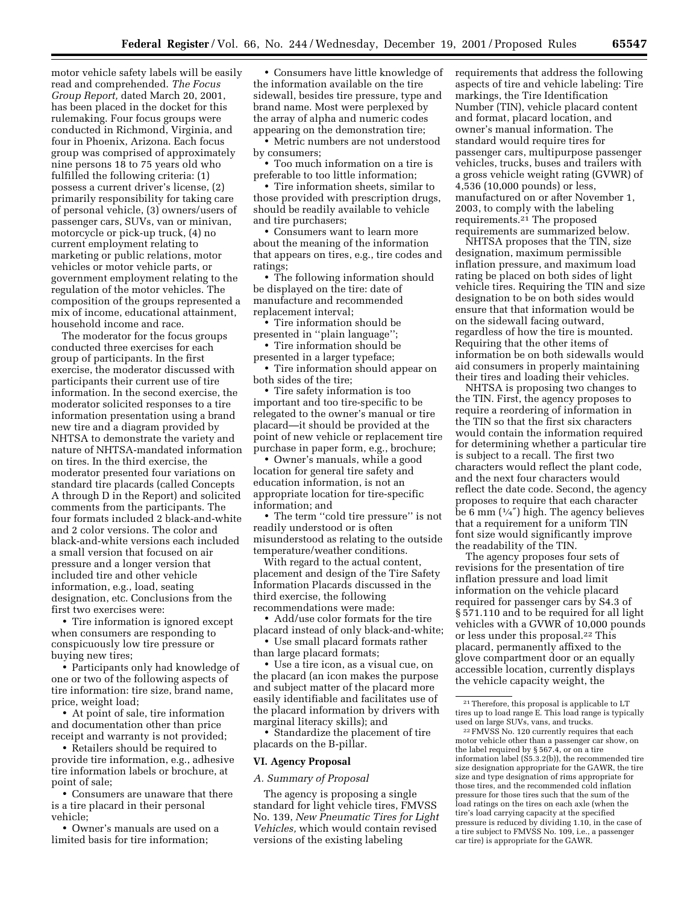motor vehicle safety labels will be easily read and comprehended. *The Focus Group Report,* dated March 20, 2001, has been placed in the docket for this rulemaking. Four focus groups were conducted in Richmond, Virginia, and four in Phoenix, Arizona. Each focus group was comprised of approximately nine persons 18 to 75 years old who fulfilled the following criteria: (1) possess a current driver's license, (2) primarily responsibility for taking care of personal vehicle, (3) owners/users of passenger cars, SUVs, van or minivan, motorcycle or pick-up truck, (4) no current employment relating to marketing or public relations, motor vehicles or motor vehicle parts, or government employment relating to the regulation of the motor vehicles. The composition of the groups represented a mix of income, educational attainment, household income and race.

The moderator for the focus groups conducted three exercises for each group of participants. In the first exercise, the moderator discussed with participants their current use of tire information. In the second exercise, the moderator solicited responses to a tire information presentation using a brand new tire and a diagram provided by NHTSA to demonstrate the variety and nature of NHTSA-mandated information on tires. In the third exercise, the moderator presented four variations on standard tire placards (called Concepts A through D in the Report) and solicited comments from the participants. The four formats included 2 black-and-white and 2 color versions. The color and black-and-white versions each included a small version that focused on air pressure and a longer version that included tire and other vehicle information, e.g., load, seating designation, etc. Conclusions from the first two exercises were:

• Tire information is ignored except when consumers are responding to conspicuously low tire pressure or buying new tires;

• Participants only had knowledge of one or two of the following aspects of tire information: tire size, brand name, price, weight load;

• At point of sale, tire information and documentation other than price receipt and warranty is not provided;

• Retailers should be required to provide tire information, e.g., adhesive tire information labels or brochure, at point of sale;

• Consumers are unaware that there is a tire placard in their personal vehicle;

• Owner's manuals are used on a limited basis for tire information;

• Consumers have little knowledge of the information available on the tire sidewall, besides tire pressure, type and brand name. Most were perplexed by the array of alpha and numeric codes appearing on the demonstration tire;

• Metric numbers are not understood by consumers;

• Too much information on a tire is preferable to too little information;

• Tire information sheets, similar to those provided with prescription drugs, should be readily available to vehicle and tire purchasers;

• Consumers want to learn more about the meaning of the information that appears on tires, e.g., tire codes and ratings;

• The following information should be displayed on the tire: date of manufacture and recommended replacement interval;

• Tire information should be presented in ''plain language'';

• Tire information should be presented in a larger typeface;

• Tire information should appear on both sides of the tire;

• Tire safety information is too important and too tire-specific to be relegated to the owner's manual or tire placard—it should be provided at the point of new vehicle or replacement tire purchase in paper form, e.g., brochure;

• Owner's manuals, while a good location for general tire safety and education information, is not an appropriate location for tire-specific information; and

• The term ''cold tire pressure'' is not readily understood or is often misunderstood as relating to the outside temperature/weather conditions.

With regard to the actual content, placement and design of the Tire Safety Information Placards discussed in the third exercise, the following recommendations were made:

• Add/use color formats for the tire placard instead of only black-and-white;

• Use small placard formats rather than large placard formats;

• Use a tire icon, as a visual cue, on the placard (an icon makes the purpose and subject matter of the placard more easily identifiable and facilitates use of the placard information by drivers with marginal literacy skills); and

• Standardize the placement of tire placards on the B-pillar.

#### **VI. Agency Proposal**

*A. Summary of Proposal*

The agency is proposing a single standard for light vehicle tires, FMVSS No. 139, *New Pneumatic Tires for Light Vehicles,* which would contain revised versions of the existing labeling

requirements that address the following aspects of tire and vehicle labeling: Tire markings, the Tire Identification Number (TIN), vehicle placard content and format, placard location, and owner's manual information. The standard would require tires for passenger cars, multipurpose passenger vehicles, trucks, buses and trailers with a gross vehicle weight rating (GVWR) of 4,536 (10,000 pounds) or less, manufactured on or after November 1, 2003, to comply with the labeling requirements.21 The proposed requirements are summarized below.

NHTSA proposes that the TIN, size designation, maximum permissible inflation pressure, and maximum load rating be placed on both sides of light vehicle tires. Requiring the TIN and size designation to be on both sides would ensure that that information would be on the sidewall facing outward, regardless of how the tire is mounted. Requiring that the other items of information be on both sidewalls would aid consumers in properly maintaining their tires and loading their vehicles.

NHTSA is proposing two changes to the TIN. First, the agency proposes to require a reordering of information in the TIN so that the first six characters would contain the information required for determining whether a particular tire is subject to a recall. The first two characters would reflect the plant code, and the next four characters would reflect the date code. Second, the agency proposes to require that each character be 6 mm  $(1/4)$  high. The agency believes that a requirement for a uniform TIN font size would significantly improve the readability of the TIN.

The agency proposes four sets of revisions for the presentation of tire inflation pressure and load limit information on the vehicle placard required for passenger cars by S4.3 of § 571.110 and to be required for all light vehicles with a GVWR of 10,000 pounds or less under this proposal.22 This placard, permanently affixed to the glove compartment door or an equally accessible location, currently displays the vehicle capacity weight, the

21Therefore, this proposal is applicable to LT tires up to load range E. This load range is typically used on large SUVs, vans, and trucks.

22FMVSS No. 120 currently requires that each motor vehicle other than a passenger car show, on the label required by § 567.4, or on a tire information label (S5.3.2(b)), the recommended tire size designation appropriate for the GAWR, the tire size and type designation of rims appropriate for those tires, and the recommended cold inflation pressure for those tires such that the sum of the load ratings on the tires on each axle (when the tire's load carrying capacity at the specified pressure is reduced by dividing 1.10, in the case of a tire subject to FMVSS No. 109, i.e., a passenger car tire) is appropriate for the GAWR.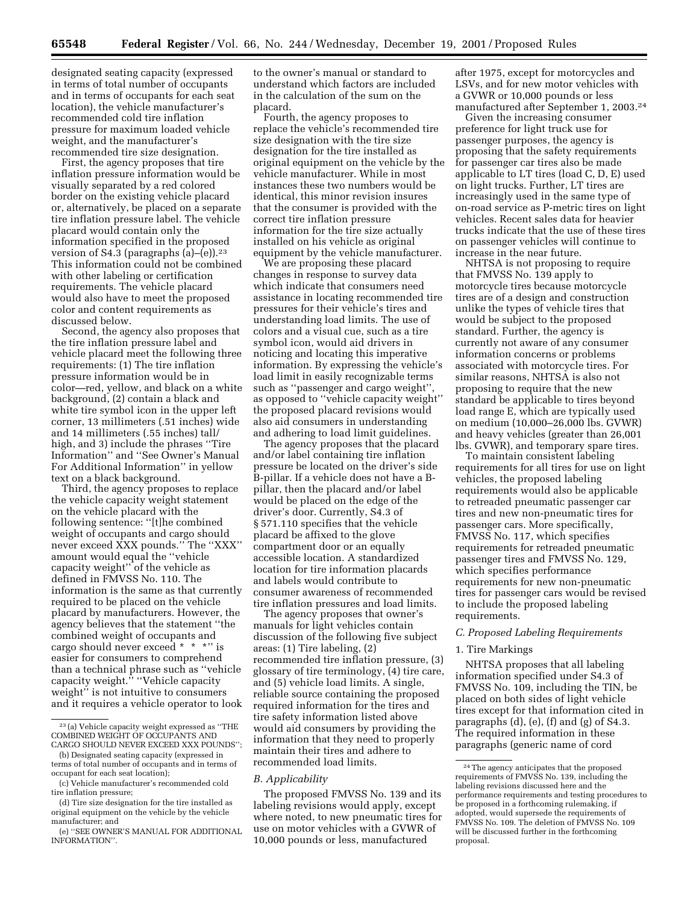designated seating capacity (expressed in terms of total number of occupants and in terms of occupants for each seat location), the vehicle manufacturer's recommended cold tire inflation pressure for maximum loaded vehicle weight, and the manufacturer's recommended tire size designation.

First, the agency proposes that tire inflation pressure information would be visually separated by a red colored border on the existing vehicle placard or, alternatively, be placed on a separate tire inflation pressure label. The vehicle placard would contain only the information specified in the proposed version of S4.3 (paragraphs (a)–(e)).23 This information could not be combined with other labeling or certification requirements. The vehicle placard would also have to meet the proposed color and content requirements as discussed below.

Second, the agency also proposes that the tire inflation pressure label and vehicle placard meet the following three requirements: (1) The tire inflation pressure information would be in color—red, yellow, and black on a white background, (2) contain a black and white tire symbol icon in the upper left corner, 13 millimeters (.51 inches) wide and 14 millimeters (.55 inches) tall/ high, and 3) include the phrases ''Tire Information'' and ''See Owner's Manual For Additional Information'' in yellow text on a black background.

Third, the agency proposes to replace the vehicle capacity weight statement on the vehicle placard with the following sentence: ''[t]he combined weight of occupants and cargo should never exceed XXX pounds.'' The ''XXX'' amount would equal the ''vehicle capacity weight'' of the vehicle as defined in FMVSS No. 110. The information is the same as that currently required to be placed on the vehicle placard by manufacturers. However, the agency believes that the statement ''the combined weight of occupants and cargo should never exceed \* \* \*" is easier for consumers to comprehend than a technical phrase such as ''vehicle capacity weight.'' ''Vehicle capacity weight'' is not intuitive to consumers and it requires a vehicle operator to look to the owner's manual or standard to understand which factors are included in the calculation of the sum on the placard.

Fourth, the agency proposes to replace the vehicle's recommended tire size designation with the tire size designation for the tire installed as original equipment on the vehicle by the vehicle manufacturer. While in most instances these two numbers would be identical, this minor revision insures that the consumer is provided with the correct tire inflation pressure information for the tire size actually installed on his vehicle as original equipment by the vehicle manufacturer.

We are proposing these placard changes in response to survey data which indicate that consumers need assistance in locating recommended tire pressures for their vehicle's tires and understanding load limits. The use of colors and a visual cue, such as a tire symbol icon, would aid drivers in noticing and locating this imperative information. By expressing the vehicle's load limit in easily recognizable terms such as ''passenger and cargo weight'', as opposed to ''vehicle capacity weight'' the proposed placard revisions would also aid consumers in understanding and adhering to load limit guidelines.

The agency proposes that the placard and/or label containing tire inflation pressure be located on the driver's side B-pillar. If a vehicle does not have a Bpillar, then the placard and/or label would be placed on the edge of the driver's door. Currently, S4.3 of § 571.110 specifies that the vehicle placard be affixed to the glove compartment door or an equally accessible location. A standardized location for tire information placards and labels would contribute to consumer awareness of recommended tire inflation pressures and load limits.

The agency proposes that owner's manuals for light vehicles contain discussion of the following five subject areas: (1) Tire labeling, (2) recommended tire inflation pressure, (3) glossary of tire terminology, (4) tire care, and (5) vehicle load limits. A single, reliable source containing the proposed required information for the tires and tire safety information listed above would aid consumers by providing the information that they need to properly maintain their tires and adhere to recommended load limits.

#### *B. Applicability*

The proposed FMVSS No. 139 and its labeling revisions would apply, except where noted, to new pneumatic tires for use on motor vehicles with a GVWR of 10,000 pounds or less, manufactured

after 1975, except for motorcycles and LSVs, and for new motor vehicles with a GVWR or 10,000 pounds or less manufactured after September 1, 2003.24

Given the increasing consumer preference for light truck use for passenger purposes, the agency is proposing that the safety requirements for passenger car tires also be made applicable to LT tires (load C, D, E) used on light trucks. Further, LT tires are increasingly used in the same type of on-road service as P-metric tires on light vehicles. Recent sales data for heavier trucks indicate that the use of these tires on passenger vehicles will continue to increase in the near future.

NHTSA is not proposing to require that FMVSS No. 139 apply to motorcycle tires because motorcycle tires are of a design and construction unlike the types of vehicle tires that would be subject to the proposed standard. Further, the agency is currently not aware of any consumer information concerns or problems associated with motorcycle tires. For similar reasons, NHTSA is also not proposing to require that the new standard be applicable to tires beyond load range E, which are typically used on medium (10,000–26,000 lbs. GVWR) and heavy vehicles (greater than 26,001 lbs. GVWR), and temporary spare tires.

To maintain consistent labeling requirements for all tires for use on light vehicles, the proposed labeling requirements would also be applicable to retreaded pneumatic passenger car tires and new non-pneumatic tires for passenger cars. More specifically, FMVSS No. 117, which specifies requirements for retreaded pneumatic passenger tires and FMVSS No. 129, which specifies performance requirements for new non-pneumatic tires for passenger cars would be revised to include the proposed labeling requirements.

#### *C. Proposed Labeling Requirements*

#### 1. Tire Markings

NHTSA proposes that all labeling information specified under S4.3 of FMVSS No. 109, including the TIN, be placed on both sides of light vehicle tires except for that information cited in paragraphs (d), (e), (f) and (g) of S4.3. The required information in these paragraphs (generic name of cord

<sup>23</sup> (a) Vehicle capacity weight expressed as ''THE COMBINED WEIGHT OF OCCUPANTS AND CARGO SHOULD NEVER EXCEED XXX POUNDS'';

<sup>(</sup>b) Designated seating capacity (expressed in terms of total number of occupants and in terms of occupant for each seat location);

<sup>(</sup>c) Vehicle manufacturer's recommended cold tire inflation pressure;

<sup>(</sup>d) Tire size designation for the tire installed as original equipment on the vehicle by the vehicle manufacturer; and

<sup>(</sup>e) ''SEE OWNER'S MANUAL FOR ADDITIONAL INFORMATION''.

<sup>24</sup>The agency anticipates that the proposed requirements of FMVSS No. 139, including the labeling revisions discussed here and the performance requirements and testing procedures to be proposed in a forthcoming rulemaking, if adopted, would supersede the requirements of FMVSS No. 109. The deletion of FMVSS No. 109 will be discussed further in the forthcoming proposal.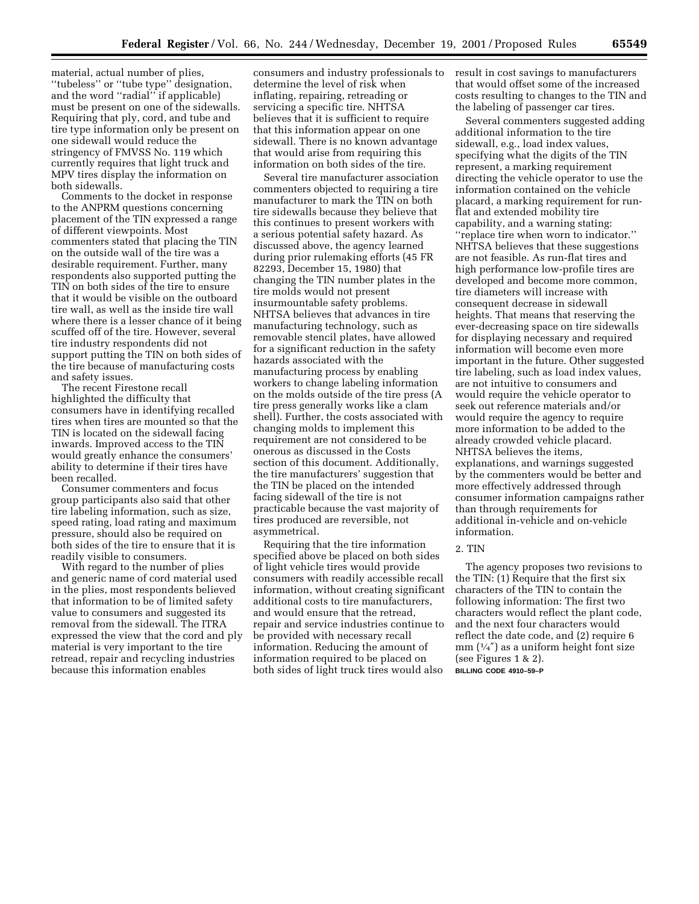material, actual number of plies, ''tubeless'' or ''tube type'' designation, and the word ''radial'' if applicable) must be present on one of the sidewalls. Requiring that ply, cord, and tube and tire type information only be present on one sidewall would reduce the stringency of FMVSS No. 119 which currently requires that light truck and MPV tires display the information on both sidewalls.

Comments to the docket in response to the ANPRM questions concerning placement of the TIN expressed a range of different viewpoints. Most commenters stated that placing the TIN on the outside wall of the tire was a desirable requirement. Further, many respondents also supported putting the TIN on both sides of the tire to ensure that it would be visible on the outboard tire wall, as well as the inside tire wall where there is a lesser chance of it being scuffed off of the tire. However, several tire industry respondents did not support putting the TIN on both sides of the tire because of manufacturing costs and safety issues.

The recent Firestone recall highlighted the difficulty that consumers have in identifying recalled tires when tires are mounted so that the TIN is located on the sidewall facing inwards. Improved access to the TIN would greatly enhance the consumers' ability to determine if their tires have been recalled.

Consumer commenters and focus group participants also said that other tire labeling information, such as size, speed rating, load rating and maximum pressure, should also be required on both sides of the tire to ensure that it is readily visible to consumers.

With regard to the number of plies and generic name of cord material used in the plies, most respondents believed that information to be of limited safety value to consumers and suggested its removal from the sidewall. The ITRA expressed the view that the cord and ply material is very important to the tire retread, repair and recycling industries because this information enables

consumers and industry professionals to determine the level of risk when inflating, repairing, retreading or servicing a specific tire. NHTSA believes that it is sufficient to require that this information appear on one sidewall. There is no known advantage that would arise from requiring this information on both sides of the tire.

Several tire manufacturer association commenters objected to requiring a tire manufacturer to mark the TIN on both tire sidewalls because they believe that this continues to present workers with a serious potential safety hazard. As discussed above, the agency learned during prior rulemaking efforts (45 FR 82293, December 15, 1980) that changing the TIN number plates in the tire molds would not present insurmountable safety problems. NHTSA believes that advances in tire manufacturing technology, such as removable stencil plates, have allowed for a significant reduction in the safety hazards associated with the manufacturing process by enabling workers to change labeling information on the molds outside of the tire press (A tire press generally works like a clam shell). Further, the costs associated with changing molds to implement this requirement are not considered to be onerous as discussed in the Costs section of this document. Additionally, the tire manufacturers' suggestion that the TIN be placed on the intended facing sidewall of the tire is not practicable because the vast majority of tires produced are reversible, not asymmetrical.

Requiring that the tire information specified above be placed on both sides of light vehicle tires would provide consumers with readily accessible recall information, without creating significant additional costs to tire manufacturers, and would ensure that the retread, repair and service industries continue to be provided with necessary recall information. Reducing the amount of information required to be placed on both sides of light truck tires would also

result in cost savings to manufacturers that would offset some of the increased costs resulting to changes to the TIN and the labeling of passenger car tires.

Several commenters suggested adding additional information to the tire sidewall, e.g., load index values, specifying what the digits of the TIN represent, a marking requirement directing the vehicle operator to use the information contained on the vehicle placard, a marking requirement for runflat and extended mobility tire capability, and a warning stating: ''replace tire when worn to indicator.'' NHTSA believes that these suggestions are not feasible. As run-flat tires and high performance low-profile tires are developed and become more common, tire diameters will increase with consequent decrease in sidewall heights. That means that reserving the ever-decreasing space on tire sidewalls for displaying necessary and required information will become even more important in the future. Other suggested tire labeling, such as load index values, are not intuitive to consumers and would require the vehicle operator to seek out reference materials and/or would require the agency to require more information to be added to the already crowded vehicle placard. NHTSA believes the items, explanations, and warnings suggested by the commenters would be better and more effectively addressed through consumer information campaigns rather than through requirements for additional in-vehicle and on-vehicle information.

#### 2. TIN

The agency proposes two revisions to the TIN: (1) Require that the first six characters of the TIN to contain the following information: The first two characters would reflect the plant code, and the next four characters would reflect the date code, and (2) require 6 mm  $(1/4'')$  as a uniform height font size (see Figures 1 & 2). **BILLING CODE 4910–59–P**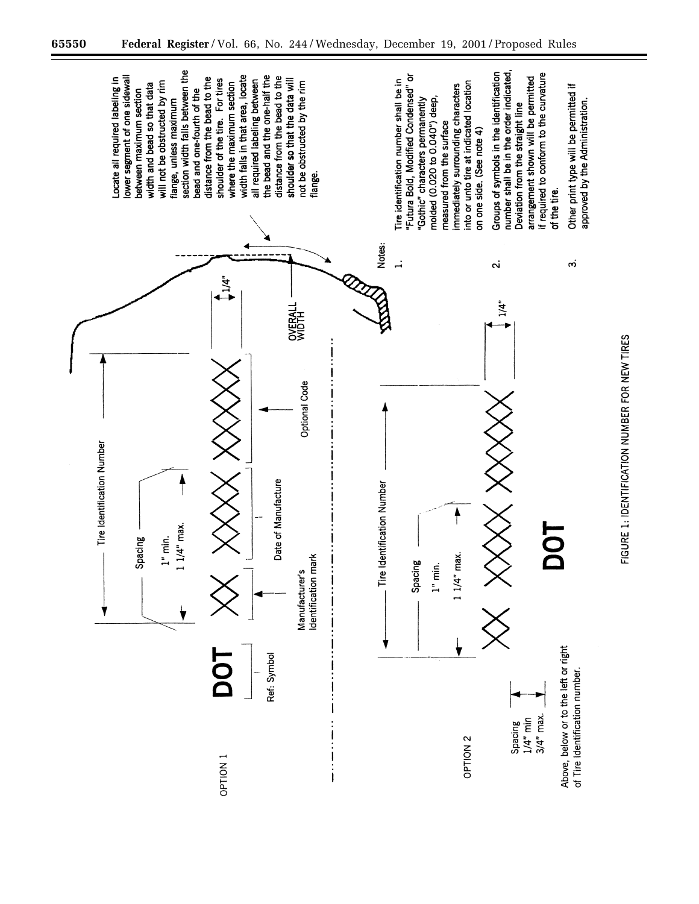

FIGURE 1: IDENTIFICATION NUMBER FOR NEW TIRES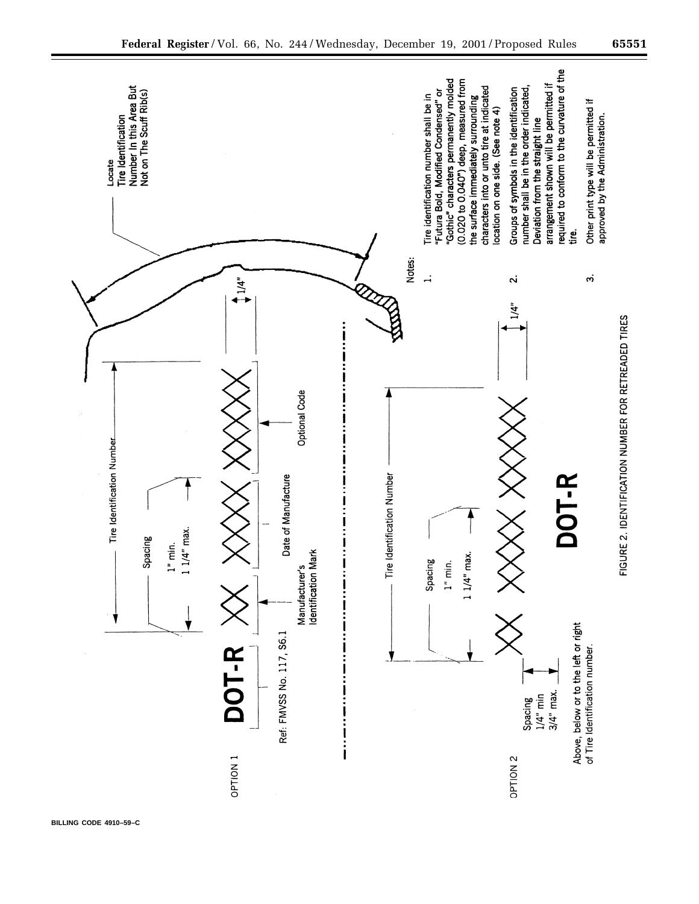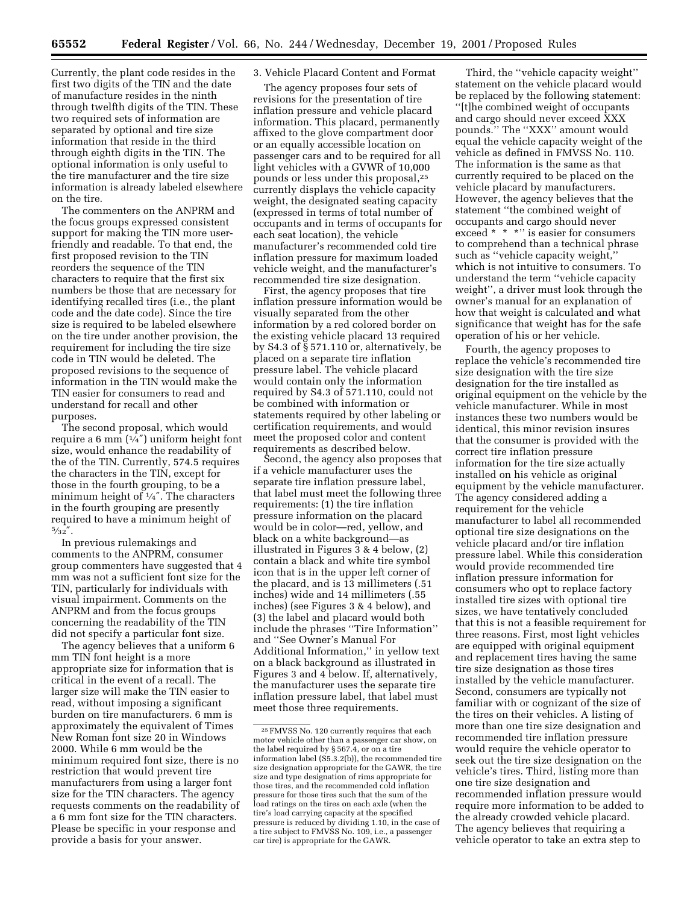Currently, the plant code resides in the first two digits of the TIN and the date of manufacture resides in the ninth through twelfth digits of the TIN. These two required sets of information are separated by optional and tire size information that reside in the third through eighth digits in the TIN. The optional information is only useful to the tire manufacturer and the tire size information is already labeled elsewhere on the tire.

The commenters on the ANPRM and the focus groups expressed consistent support for making the TIN more userfriendly and readable. To that end, the first proposed revision to the TIN reorders the sequence of the TIN characters to require that the first six numbers be those that are necessary for identifying recalled tires (i.e., the plant code and the date code). Since the tire size is required to be labeled elsewhere on the tire under another provision, the requirement for including the tire size code in TIN would be deleted. The proposed revisions to the sequence of information in the TIN would make the TIN easier for consumers to read and understand for recall and other purposes.

The second proposal, which would require a 6 mm  $(1/4'')$  uniform height font size, would enhance the readability of the of the TIN. Currently, 574.5 requires the characters in the TIN, except for those in the fourth grouping, to be a minimum height of 1⁄4″. The characters in the fourth grouping are presently required to have a minimum height of  $5/32$   $\rlap{.}''$ 

In previous rulemakings and comments to the ANPRM, consumer group commenters have suggested that 4 mm was not a sufficient font size for the TIN, particularly for individuals with visual impairment. Comments on the ANPRM and from the focus groups concerning the readability of the TIN did not specify a particular font size.

The agency believes that a uniform 6 mm TIN font height is a more appropriate size for information that is critical in the event of a recall. The larger size will make the TIN easier to read, without imposing a significant burden on tire manufacturers. 6 mm is approximately the equivalent of Times New Roman font size 20 in Windows 2000. While 6 mm would be the minimum required font size, there is no restriction that would prevent tire manufacturers from using a larger font size for the TIN characters. The agency requests comments on the readability of a 6 mm font size for the TIN characters. Please be specific in your response and provide a basis for your answer.

## 3. Vehicle Placard Content and Format

The agency proposes four sets of revisions for the presentation of tire inflation pressure and vehicle placard information. This placard, permanently affixed to the glove compartment door or an equally accessible location on passenger cars and to be required for all light vehicles with a GVWR of 10,000 pounds or less under this proposal,25 currently displays the vehicle capacity weight, the designated seating capacity (expressed in terms of total number of occupants and in terms of occupants for each seat location), the vehicle manufacturer's recommended cold tire inflation pressure for maximum loaded vehicle weight, and the manufacturer's recommended tire size designation.

First, the agency proposes that tire inflation pressure information would be visually separated from the other information by a red colored border on the existing vehicle placard 13 required by S4.3 of  $\S 571.110$  or, alternatively, be placed on a separate tire inflation pressure label. The vehicle placard would contain only the information required by S4.3 of 571.110, could not be combined with information or statements required by other labeling or certification requirements, and would meet the proposed color and content requirements as described below.

Second, the agency also proposes that if a vehicle manufacturer uses the separate tire inflation pressure label, that label must meet the following three requirements: (1) the tire inflation pressure information on the placard would be in color—red, yellow, and black on a white background—as illustrated in Figures 3 & 4 below, (2) contain a black and white tire symbol icon that is in the upper left corner of the placard, and is 13 millimeters (.51 inches) wide and 14 millimeters (.55 inches) (see Figures 3 & 4 below), and (3) the label and placard would both include the phrases ''Tire Information'' and ''See Owner's Manual For Additional Information,'' in yellow text on a black background as illustrated in Figures 3 and 4 below. If, alternatively, the manufacturer uses the separate tire inflation pressure label, that label must meet those three requirements.

Third, the ''vehicle capacity weight'' statement on the vehicle placard would be replaced by the following statement: ''[t]he combined weight of occupants and cargo should never exceed XXX pounds.'' The ''XXX'' amount would equal the vehicle capacity weight of the vehicle as defined in FMVSS No. 110. The information is the same as that currently required to be placed on the vehicle placard by manufacturers. However, the agency believes that the statement ''the combined weight of occupants and cargo should never exceed \* \* \*" is easier for consumers to comprehend than a technical phrase such as ''vehicle capacity weight,'' which is not intuitive to consumers. To understand the term ''vehicle capacity weight'', a driver must look through the owner's manual for an explanation of how that weight is calculated and what significance that weight has for the safe operation of his or her vehicle.

Fourth, the agency proposes to replace the vehicle's recommended tire size designation with the tire size designation for the tire installed as original equipment on the vehicle by the vehicle manufacturer. While in most instances these two numbers would be identical, this minor revision insures that the consumer is provided with the correct tire inflation pressure information for the tire size actually installed on his vehicle as original equipment by the vehicle manufacturer. The agency considered adding a requirement for the vehicle manufacturer to label all recommended optional tire size designations on the vehicle placard and/or tire inflation pressure label. While this consideration would provide recommended tire inflation pressure information for consumers who opt to replace factory installed tire sizes with optional tire sizes, we have tentatively concluded that this is not a feasible requirement for three reasons. First, most light vehicles are equipped with original equipment and replacement tires having the same tire size designation as those tires installed by the vehicle manufacturer. Second, consumers are typically not familiar with or cognizant of the size of the tires on their vehicles. A listing of more than one tire size designation and recommended tire inflation pressure would require the vehicle operator to seek out the tire size designation on the vehicle's tires. Third, listing more than one tire size designation and recommended inflation pressure would require more information to be added to the already crowded vehicle placard. The agency believes that requiring a vehicle operator to take an extra step to

<sup>25</sup>FMVSS No. 120 currently requires that each motor vehicle other than a passenger car show, on the label required by § 567.4, or on a tire information label (S5.3.2(b)), the recommended tire size designation appropriate for the GAWR, the tire size and type designation of rims appropriate for those tires, and the recommended cold inflation pressure for those tires such that the sum of the load ratings on the tires on each axle (when the tire's load carrying capacity at the specified pressure is reduced by dividing 1.10, in the case of a tire subject to FMVSS No. 109, i.e., a passenger car tire) is appropriate for the GAWR.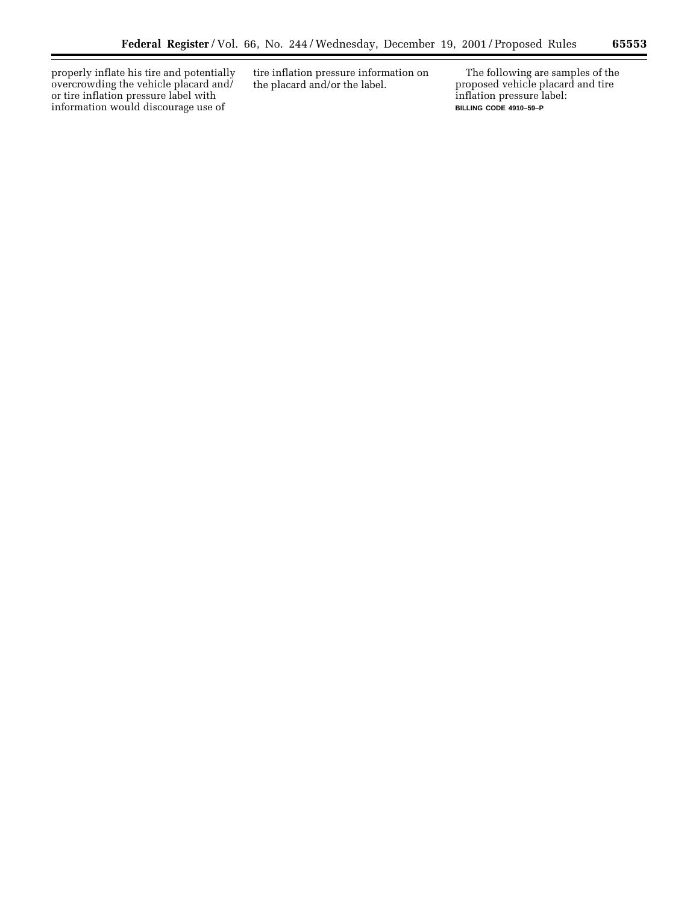properly inflate his tire and potentially overcrowding the vehicle placard and/ or tire inflation pressure label with information would discourage use of

Ξ

tire inflation pressure information on the placard and/or the label.

The following are samples of the proposed vehicle placard and tire inflation pressure label: **BILLING CODE 4910–59–P**

 $\equiv$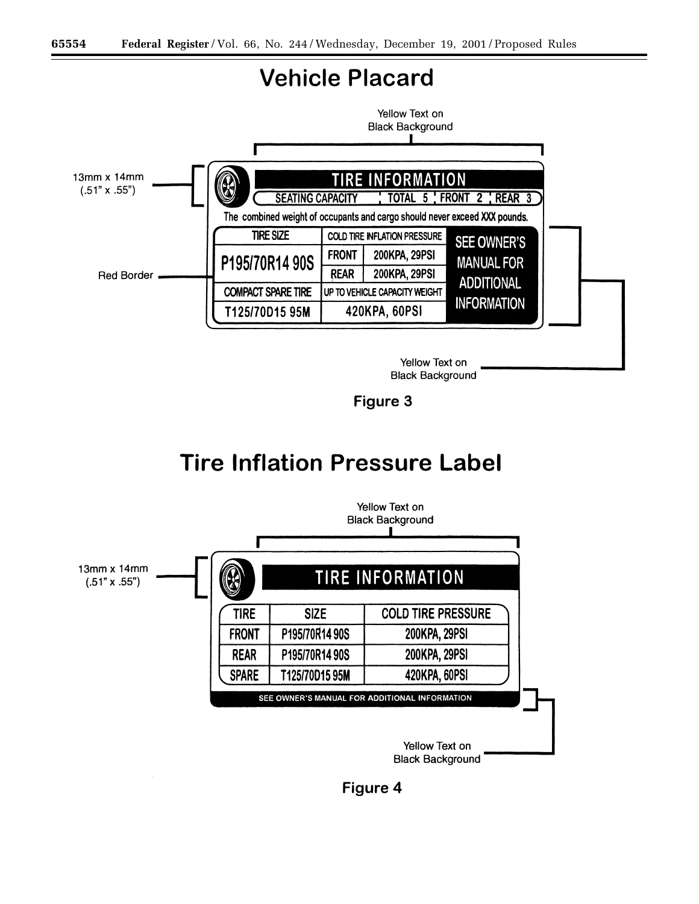

Yellow Text on **Black Background** 

Figure 3

## **Tire Inflation Pressure Label**



Figure 4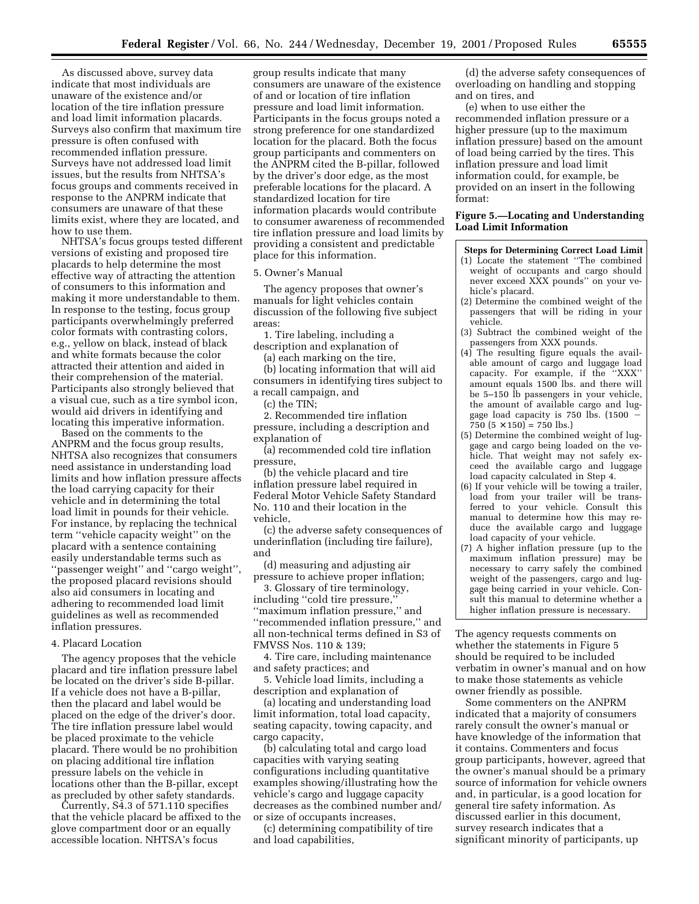As discussed above, survey data indicate that most individuals are unaware of the existence and/or location of the tire inflation pressure and load limit information placards. Surveys also confirm that maximum tire pressure is often confused with recommended inflation pressure. Surveys have not addressed load limit issues, but the results from NHTSA's focus groups and comments received in response to the ANPRM indicate that consumers are unaware of that these limits exist, where they are located, and how to use them.

NHTSA's focus groups tested different versions of existing and proposed tire placards to help determine the most effective way of attracting the attention of consumers to this information and making it more understandable to them. In response to the testing, focus group participants overwhelmingly preferred color formats with contrasting colors, e.g., yellow on black, instead of black and white formats because the color attracted their attention and aided in their comprehension of the material. Participants also strongly believed that a visual cue, such as a tire symbol icon, would aid drivers in identifying and locating this imperative information.

Based on the comments to the ANPRM and the focus group results, NHTSA also recognizes that consumers need assistance in understanding load limits and how inflation pressure affects the load carrying capacity for their vehicle and in determining the total load limit in pounds for their vehicle. For instance, by replacing the technical term ''vehicle capacity weight'' on the placard with a sentence containing easily understandable terms such as ''passenger weight'' and ''cargo weight'', the proposed placard revisions should also aid consumers in locating and adhering to recommended load limit guidelines as well as recommended inflation pressures.

#### 4. Placard Location

The agency proposes that the vehicle placard and tire inflation pressure label be located on the driver's side B-pillar. If a vehicle does not have a B-pillar, then the placard and label would be placed on the edge of the driver's door. The tire inflation pressure label would be placed proximate to the vehicle placard. There would be no prohibition on placing additional tire inflation pressure labels on the vehicle in locations other than the B-pillar, except as precluded by other safety standards.

Currently, S4.3 of 571.110 specifies that the vehicle placard be affixed to the glove compartment door or an equally accessible location. NHTSA's focus

group results indicate that many consumers are unaware of the existence of and or location of tire inflation pressure and load limit information. Participants in the focus groups noted a strong preference for one standardized location for the placard. Both the focus group participants and commenters on the ANPRM cited the B-pillar, followed by the driver's door edge, as the most preferable locations for the placard. A standardized location for tire information placards would contribute to consumer awareness of recommended tire inflation pressure and load limits by providing a consistent and predictable place for this information.

5. Owner's Manual

The agency proposes that owner's manuals for light vehicles contain discussion of the following five subject areas:

1. Tire labeling, including a description and explanation of

(a) each marking on the tire,

(b) locating information that will aid consumers in identifying tires subject to a recall campaign, and

(c) the TIN;

2. Recommended tire inflation pressure, including a description and explanation of

(a) recommended cold tire inflation pressure,

(b) the vehicle placard and tire inflation pressure label required in Federal Motor Vehicle Safety Standard No. 110 and their location in the vehicle,

(c) the adverse safety consequences of underinflation (including tire failure), and

(d) measuring and adjusting air pressure to achieve proper inflation;

3. Glossary of tire terminology, including ''cold tire pressure,'' ''maximum inflation pressure,'' and ''recommended inflation pressure,'' and all non-technical terms defined in S3 of FMVSS Nos. 110 & 139;

4. Tire care, including maintenance and safety practices; and

5. Vehicle load limits, including a description and explanation of

(a) locating and understanding load limit information, total load capacity, seating capacity, towing capacity, and cargo capacity,

(b) calculating total and cargo load capacities with varying seating configurations including quantitative examples showing/illustrating how the vehicle's cargo and luggage capacity decreases as the combined number and/ or size of occupants increases,

(c) determining compatibility of tire and load capabilities,

(d) the adverse safety consequences of overloading on handling and stopping and on tires, and

(e) when to use either the recommended inflation pressure or a higher pressure (up to the maximum inflation pressure) based on the amount of load being carried by the tires. This inflation pressure and load limit information could, for example, be provided on an insert in the following format:

#### **Figure 5.—Locating and Understanding Load Limit Information**

**Steps for Determining Correct Load Limit**

- (1) Locate the statement ''The combined weight of occupants and cargo should never exceed XXX pounds'' on your vehicle's placard.
- (2) Determine the combined weight of the passengers that will be riding in your vehicle.
- (3) Subtract the combined weight of the passengers from XXX pounds.
- (4) The resulting figure equals the available amount of cargo and luggage load capacity. For example, if the ''XXX'' amount equals 1500 lbs. and there will be 5–150 lb passengers in your vehicle, the amount of available cargo and luggage load capacity is 750 lbs. (1500  $750$   $(5 \times 150) = 750$  lbs.)
- (5) Determine the combined weight of luggage and cargo being loaded on the vehicle. That weight may not safely exceed the available cargo and luggage load capacity calculated in Step 4.
- (6) If your vehicle will be towing a trailer, load from your trailer will be transferred to your vehicle. Consult this manual to determine how this may reduce the available cargo and luggage load capacity of your vehicle.
- (7) A higher inflation pressure (up to the maximum inflation pressure) may be necessary to carry safely the combined weight of the passengers, cargo and luggage being carried in your vehicle. Consult this manual to determine whether a higher inflation pressure is necessary.

The agency requests comments on whether the statements in Figure 5 should be required to be included verbatim in owner's manual and on how to make those statements as vehicle owner friendly as possible.

Some commenters on the ANPRM indicated that a majority of consumers rarely consult the owner's manual or have knowledge of the information that it contains. Commenters and focus group participants, however, agreed that the owner's manual should be a primary source of information for vehicle owners and, in particular, is a good location for general tire safety information. As discussed earlier in this document, survey research indicates that a significant minority of participants, up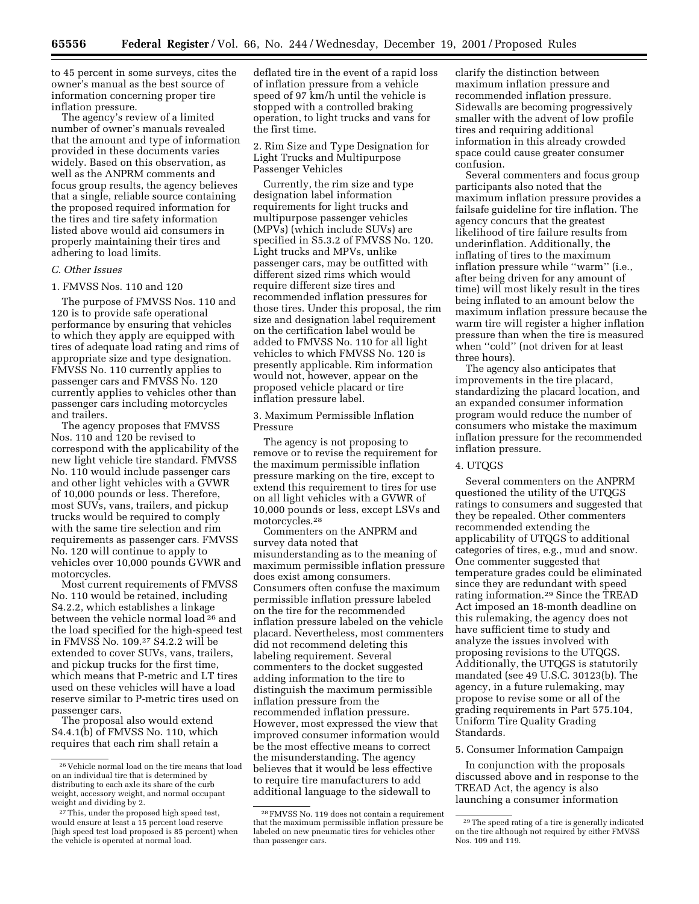to 45 percent in some surveys, cites the owner's manual as the best source of information concerning proper tire inflation pressure.

The agency's review of a limited number of owner's manuals revealed that the amount and type of information provided in these documents varies widely. Based on this observation, as well as the ANPRM comments and focus group results, the agency believes that a single, reliable source containing the proposed required information for the tires and tire safety information listed above would aid consumers in properly maintaining their tires and adhering to load limits.

#### *C. Other Issues*

## 1. FMVSS Nos. 110 and 120

The purpose of FMVSS Nos. 110 and 120 is to provide safe operational performance by ensuring that vehicles to which they apply are equipped with tires of adequate load rating and rims of appropriate size and type designation. FMVSS No. 110 currently applies to passenger cars and FMVSS No. 120 currently applies to vehicles other than passenger cars including motorcycles and trailers.

The agency proposes that FMVSS Nos. 110 and 120 be revised to correspond with the applicability of the new light vehicle tire standard. FMVSS No. 110 would include passenger cars and other light vehicles with a GVWR of 10,000 pounds or less. Therefore, most SUVs, vans, trailers, and pickup trucks would be required to comply with the same tire selection and rim requirements as passenger cars. FMVSS No. 120 will continue to apply to vehicles over 10,000 pounds GVWR and motorcycles.

Most current requirements of FMVSS No. 110 would be retained, including S4.2.2, which establishes a linkage between the vehicle normal load 26 and the load specified for the high-speed test in FMVSS No. 109.27 S4.2.2 will be extended to cover SUVs, vans, trailers, and pickup trucks for the first time, which means that P-metric and LT tires used on these vehicles will have a load reserve similar to P-metric tires used on passenger cars.

The proposal also would extend S4.4.1(b) of FMVSS No. 110, which requires that each rim shall retain a deflated tire in the event of a rapid loss of inflation pressure from a vehicle speed of 97 km/h until the vehicle is stopped with a controlled braking operation, to light trucks and vans for the first time.

2. Rim Size and Type Designation for Light Trucks and Multipurpose Passenger Vehicles

Currently, the rim size and type designation label information requirements for light trucks and multipurpose passenger vehicles (MPVs) (which include SUVs) are specified in S5.3.2 of FMVSS No. 120. Light trucks and MPVs, unlike passenger cars, may be outfitted with different sized rims which would require different size tires and recommended inflation pressures for those tires. Under this proposal, the rim size and designation label requirement on the certification label would be added to FMVSS No. 110 for all light vehicles to which FMVSS No. 120 is presently applicable. Rim information would not, however, appear on the proposed vehicle placard or tire inflation pressure label.

3. Maximum Permissible Inflation Pressure

The agency is not proposing to remove or to revise the requirement for the maximum permissible inflation pressure marking on the tire, except to extend this requirement to tires for use on all light vehicles with a GVWR of 10,000 pounds or less, except LSVs and motorcycles.28

Commenters on the ANPRM and survey data noted that misunderstanding as to the meaning of maximum permissible inflation pressure does exist among consumers. Consumers often confuse the maximum permissible inflation pressure labeled on the tire for the recommended inflation pressure labeled on the vehicle placard. Nevertheless, most commenters did not recommend deleting this labeling requirement. Several commenters to the docket suggested adding information to the tire to distinguish the maximum permissible inflation pressure from the recommended inflation pressure. However, most expressed the view that improved consumer information would be the most effective means to correct the misunderstanding. The agency believes that it would be less effective to require tire manufacturers to add additional language to the sidewall to

clarify the distinction between maximum inflation pressure and recommended inflation pressure. Sidewalls are becoming progressively smaller with the advent of low profile tires and requiring additional information in this already crowded space could cause greater consumer confusion.

Several commenters and focus group participants also noted that the maximum inflation pressure provides a failsafe guideline for tire inflation. The agency concurs that the greatest likelihood of tire failure results from underinflation. Additionally, the inflating of tires to the maximum inflation pressure while ''warm'' (i.e., after being driven for any amount of time) will most likely result in the tires being inflated to an amount below the maximum inflation pressure because the warm tire will register a higher inflation pressure than when the tire is measured when ''cold'' (not driven for at least three hours).

The agency also anticipates that improvements in the tire placard, standardizing the placard location, and an expanded consumer information program would reduce the number of consumers who mistake the maximum inflation pressure for the recommended inflation pressure.

#### 4. UTQGS

Several commenters on the ANPRM questioned the utility of the UTQGS ratings to consumers and suggested that they be repealed. Other commenters recommended extending the applicability of UTQGS to additional categories of tires, e.g., mud and snow. One commenter suggested that temperature grades could be eliminated since they are redundant with speed rating information.29 Since the TREAD Act imposed an 18-month deadline on this rulemaking, the agency does not have sufficient time to study and analyze the issues involved with proposing revisions to the UTQGS. Additionally, the UTQGS is statutorily mandated (see 49 U.S.C. 30123(b). The agency, in a future rulemaking, may propose to revise some or all of the grading requirements in Part 575.104, Uniform Tire Quality Grading Standards.

#### 5. Consumer Information Campaign

In conjunction with the proposals discussed above and in response to the TREAD Act, the agency is also launching a consumer information

<sup>26</sup> Vehicle normal load on the tire means that load on an individual tire that is determined by distributing to each axle its share of the curb weight, accessory weight, and normal occupant weight and dividing by 2.

<sup>27</sup>This, under the proposed high speed test, would ensure at least a 15 percent load reserve (high speed test load proposed is 85 percent) when the vehicle is operated at normal load.

<sup>28</sup>FMVSS No. 119 does not contain a requirement that the maximum permissible inflation pressure be labeled on new pneumatic tires for vehicles other than passenger cars.

<sup>29</sup>The speed rating of a tire is generally indicated on the tire although not required by either FMVSS Nos. 109 and 119.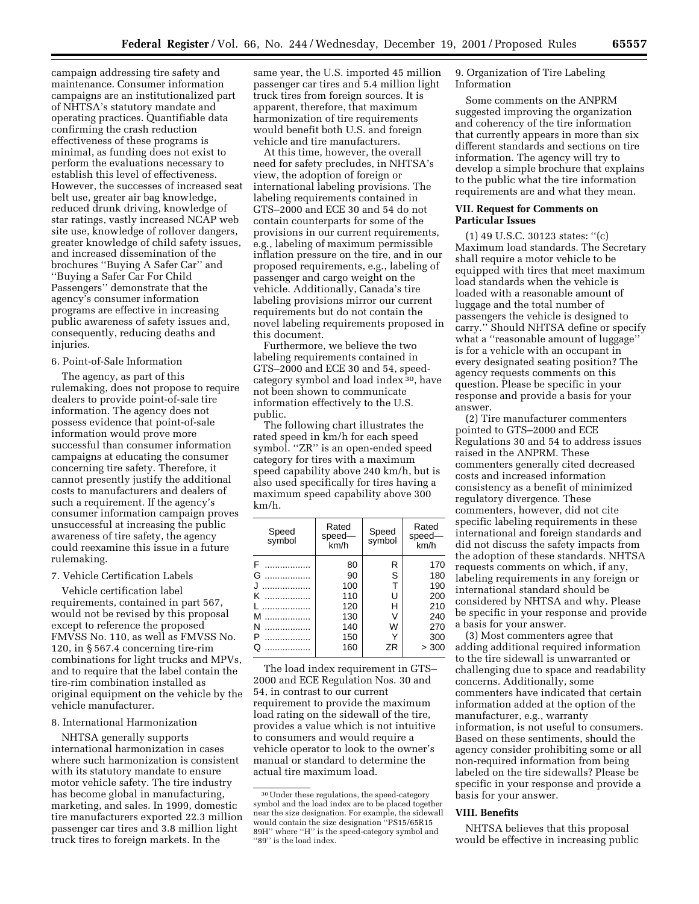campaign addressing tire safety and maintenance. Consumer information campaigns are an institutionalized part of NHTSA's statutory mandate and operating practices. Quantifiable data confirming the crash reduction effectiveness of these programs is minimal, as funding does not exist to perform the evaluations necessary to establish this level of effectiveness. However, the successes of increased seat belt use, greater air bag knowledge, reduced drunk driving, knowledge of star ratings, vastly increased NCAP web site use, knowledge of rollover dangers, greater knowledge of child safety issues, and increased dissemination of the brochures ''Buying A Safer Car'' and ''Buying a Safer Car For Child Passengers'' demonstrate that the agency's consumer information

programs are effective in increasing public awareness of safety issues and, consequently, reducing deaths and injuries.

## 6. Point-of-Sale Information

The agency, as part of this rulemaking, does not propose to require dealers to provide point-of-sale tire information. The agency does not possess evidence that point-of-sale information would prove more successful than consumer information campaigns at educating the consumer concerning tire safety. Therefore, it cannot presently justify the additional costs to manufacturers and dealers of such a requirement. If the agency's consumer information campaign proves unsuccessful at increasing the public awareness of tire safety, the agency could reexamine this issue in a future rulemaking.

## 7. Vehicle Certification Labels

Vehicle certification label requirements, contained in part 567, would not be revised by this proposal except to reference the proposed FMVSS No. 110, as well as FMVSS No. 120, in § 567.4 concerning tire-rim combinations for light trucks and MPVs, and to require that the label contain the tire-rim combination installed as original equipment on the vehicle by the vehicle manufacturer.

## 8. International Harmonization

NHTSA generally supports international harmonization in cases where such harmonization is consistent with its statutory mandate to ensure motor vehicle safety. The tire industry has become global in manufacturing, marketing, and sales. In 1999, domestic tire manufacturers exported 22.3 million passenger car tires and 3.8 million light truck tires to foreign markets. In the

same year, the U.S. imported 45 million passenger car tires and 5.4 million light truck tires from foreign sources. It is apparent, therefore, that maximum harmonization of tire requirements would benefit both U.S. and foreign vehicle and tire manufacturers.

At this time, however, the overall need for safety precludes, in NHTSA's view, the adoption of foreign or international labeling provisions. The labeling requirements contained in GTS–2000 and ECE 30 and 54 do not contain counterparts for some of the provisions in our current requirements, e.g., labeling of maximum permissible inflation pressure on the tire, and in our proposed requirements, e.g., labeling of passenger and cargo weight on the vehicle. Additionally, Canada's tire labeling provisions mirror our current requirements but do not contain the novel labeling requirements proposed in this document.

Furthermore, we believe the two labeling requirements contained in GTS–2000 and ECE 30 and 54, speedcategory symbol and load index 30, have not been shown to communicate information effectively to the U.S. public.

The following chart illustrates the rated speed in km/h for each speed symbol. ''ZR'' is an open-ended speed category for tires with a maximum speed capability above 240 km/h, but is also used specifically for tires having a maximum speed capability above 300 km/h.

| Speed<br>symbol | Rated<br>speed-<br>km/h | Speed<br>symbol | Rated<br>speed-<br>km/h |
|-----------------|-------------------------|-----------------|-------------------------|
| F               | 80                      | R               | 170                     |
| G               | 90                      | S               | 180                     |
|                 | 100                     | T               | 190                     |
| κ<br>.          | 110                     | U               | 200                     |
|                 | 120                     | н               | 210                     |
| м               | 130                     | ν               | 240                     |
| N               | 140                     | W               | 270                     |
| P               | 150                     | Υ               | 300                     |
| Q               | 160                     | ΖR              | > 300                   |

The load index requirement in GTS– 2000 and ECE Regulation Nos. 30 and 54, in contrast to our current requirement to provide the maximum load rating on the sidewall of the tire, provides a value which is not intuitive to consumers and would require a vehicle operator to look to the owner's manual or standard to determine the actual tire maximum load.

9. Organization of Tire Labeling Information

Some comments on the ANPRM suggested improving the organization and coherency of the tire information that currently appears in more than six different standards and sections on tire information. The agency will try to develop a simple brochure that explains to the public what the tire information requirements are and what they mean.

#### **VII. Request for Comments on Particular Issues**

(1) 49 U.S.C. 30123 states: ''(c) Maximum load standards. The Secretary shall require a motor vehicle to be equipped with tires that meet maximum load standards when the vehicle is loaded with a reasonable amount of luggage and the total number of passengers the vehicle is designed to carry.'' Should NHTSA define or specify what a ''reasonable amount of luggage'' is for a vehicle with an occupant in every designated seating position? The agency requests comments on this question. Please be specific in your response and provide a basis for your answer.

(2) Tire manufacturer commenters pointed to GTS–2000 and ECE Regulations 30 and 54 to address issues raised in the ANPRM. These commenters generally cited decreased costs and increased information consistency as a benefit of minimized regulatory divergence. These commenters, however, did not cite specific labeling requirements in these international and foreign standards and did not discuss the safety impacts from the adoption of these standards. NHTSA requests comments on which, if any, labeling requirements in any foreign or international standard should be considered by NHTSA and why. Please be specific in your response and provide a basis for your answer.

(3) Most commenters agree that adding additional required information to the tire sidewall is unwarranted or challenging due to space and readability concerns. Additionally, some commenters have indicated that certain information added at the option of the manufacturer, e.g., warranty information, is not useful to consumers. Based on these sentiments, should the agency consider prohibiting some or all non-required information from being labeled on the tire sidewalls? Please be specific in your response and provide a basis for your answer.

#### **VIII. Benefits**

NHTSA believes that this proposal would be effective in increasing public

<sup>30</sup>Under these regulations, the speed-category symbol and the load index are to be placed together near the size designation. For example, the sidewall would contain the size designation ''PS15/65R15 89H'' where ''H'' is the speed-category symbol and "89" is the load index.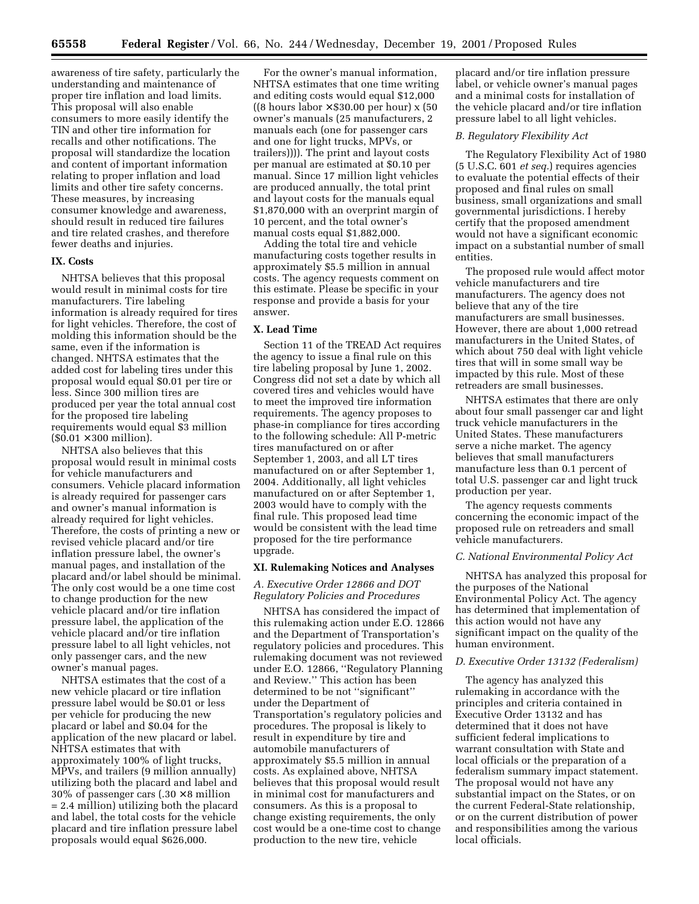awareness of tire safety, particularly the understanding and maintenance of proper tire inflation and load limits. This proposal will also enable consumers to more easily identify the TIN and other tire information for recalls and other notifications. The proposal will standardize the location and content of important information relating to proper inflation and load limits and other tire safety concerns. These measures, by increasing consumer knowledge and awareness, should result in reduced tire failures and tire related crashes, and therefore fewer deaths and injuries.

## **IX. Costs**

NHTSA believes that this proposal would result in minimal costs for tire manufacturers. Tire labeling information is already required for tires for light vehicles. Therefore, the cost of molding this information should be the same, even if the information is changed. NHTSA estimates that the added cost for labeling tires under this proposal would equal \$0.01 per tire or less. Since 300 million tires are produced per year the total annual cost for the proposed tire labeling requirements would equal \$3 million  $($0.01 \times 300 \text{ million}).$ 

NHTSA also believes that this proposal would result in minimal costs for vehicle manufacturers and consumers. Vehicle placard information is already required for passenger cars and owner's manual information is already required for light vehicles. Therefore, the costs of printing a new or revised vehicle placard and/or tire inflation pressure label, the owner's manual pages, and installation of the placard and/or label should be minimal. The only cost would be a one time cost to change production for the new vehicle placard and/or tire inflation pressure label, the application of the vehicle placard and/or tire inflation pressure label to all light vehicles, not only passenger cars, and the new owner's manual pages.

NHTSA estimates that the cost of a new vehicle placard or tire inflation pressure label would be \$0.01 or less per vehicle for producing the new placard or label and \$0.04 for the application of the new placard or label. NHTSA estimates that with approximately 100% of light trucks, MPVs, and trailers (9 million annually) utilizing both the placard and label and 30% of passenger cars  $(.30 \times 8 \text{ million})$ = 2.4 million) utilizing both the placard and label, the total costs for the vehicle placard and tire inflation pressure label proposals would equal \$626,000.

For the owner's manual information, NHTSA estimates that one time writing and editing costs would equal \$12,000 ((8 hours labor  $\times$  \$30.00 per hour) x (50 owner's manuals (25 manufacturers, 2 manuals each (one for passenger cars and one for light trucks, MPVs, or trailers)))). The print and layout costs per manual are estimated at \$0.10 per manual. Since 17 million light vehicles are produced annually, the total print and layout costs for the manuals equal \$1,870,000 with an overprint margin of 10 percent, and the total owner's manual costs equal \$1,882,000.

Adding the total tire and vehicle manufacturing costs together results in approximately \$5.5 million in annual costs. The agency requests comment on this estimate. Please be specific in your response and provide a basis for your answer.

#### **X. Lead Time**

Section 11 of the TREAD Act requires the agency to issue a final rule on this tire labeling proposal by June 1, 2002. Congress did not set a date by which all covered tires and vehicles would have to meet the improved tire information requirements. The agency proposes to phase-in compliance for tires according to the following schedule: All P-metric tires manufactured on or after September 1, 2003, and all LT tires manufactured on or after September 1, 2004. Additionally, all light vehicles manufactured on or after September 1, 2003 would have to comply with the final rule. This proposed lead time would be consistent with the lead time proposed for the tire performance upgrade.

#### **XI. Rulemaking Notices and Analyses**

## *A. Executive Order 12866 and DOT Regulatory Policies and Procedures*

NHTSA has considered the impact of this rulemaking action under E.O. 12866 and the Department of Transportation's regulatory policies and procedures. This rulemaking document was not reviewed under E.O. 12866, ''Regulatory Planning and Review.'' This action has been determined to be not ''significant'' under the Department of Transportation's regulatory policies and procedures. The proposal is likely to result in expenditure by tire and automobile manufacturers of approximately \$5.5 million in annual costs. As explained above, NHTSA believes that this proposal would result in minimal cost for manufacturers and consumers. As this is a proposal to change existing requirements, the only cost would be a one-time cost to change production to the new tire, vehicle

placard and/or tire inflation pressure label, or vehicle owner's manual pages and a minimal costs for installation of the vehicle placard and/or tire inflation pressure label to all light vehicles.

#### *B. Regulatory Flexibility Act*

The Regulatory Flexibility Act of 1980 (5 U.S.C. 601 *et seq.*) requires agencies to evaluate the potential effects of their proposed and final rules on small business, small organizations and small governmental jurisdictions. I hereby certify that the proposed amendment would not have a significant economic impact on a substantial number of small entities.

The proposed rule would affect motor vehicle manufacturers and tire manufacturers. The agency does not believe that any of the tire manufacturers are small businesses. However, there are about 1,000 retread manufacturers in the United States, of which about 750 deal with light vehicle tires that will in some small way be impacted by this rule. Most of these retreaders are small businesses.

NHTSA estimates that there are only about four small passenger car and light truck vehicle manufacturers in the United States. These manufacturers serve a niche market. The agency believes that small manufacturers manufacture less than 0.1 percent of total U.S. passenger car and light truck production per year.

The agency requests comments concerning the economic impact of the proposed rule on retreaders and small vehicle manufacturers.

#### *C. National Environmental Policy Act*

NHTSA has analyzed this proposal for the purposes of the National Environmental Policy Act. The agency has determined that implementation of this action would not have any significant impact on the quality of the human environment.

## *D. Executive Order 13132 (Federalism)*

The agency has analyzed this rulemaking in accordance with the principles and criteria contained in Executive Order 13132 and has determined that it does not have sufficient federal implications to warrant consultation with State and local officials or the preparation of a federalism summary impact statement. The proposal would not have any substantial impact on the States, or on the current Federal-State relationship, or on the current distribution of power and responsibilities among the various local officials.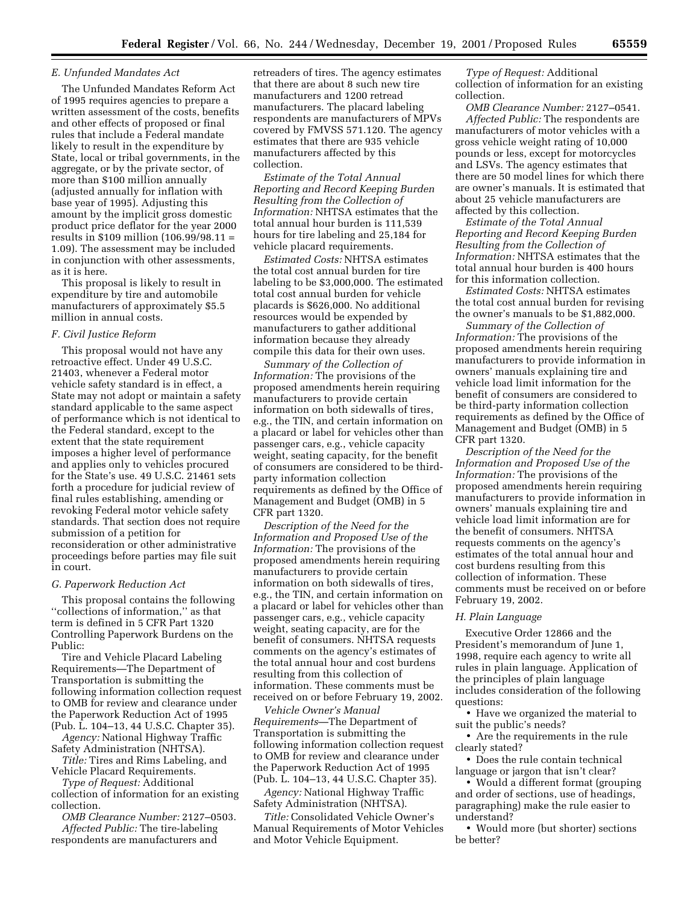#### *E. Unfunded Mandates Act*

The Unfunded Mandates Reform Act of 1995 requires agencies to prepare a written assessment of the costs, benefits and other effects of proposed or final rules that include a Federal mandate likely to result in the expenditure by State, local or tribal governments, in the aggregate, or by the private sector, of more than \$100 million annually (adjusted annually for inflation with base year of 1995). Adjusting this amount by the implicit gross domestic product price deflator for the year 2000 results in \$109 million (106.99/98.11 = 1.09). The assessment may be included in conjunction with other assessments, as it is here.

This proposal is likely to result in expenditure by tire and automobile manufacturers of approximately \$5.5 million in annual costs.

#### *F. Civil Justice Reform*

This proposal would not have any retroactive effect. Under 49 U.S.C. 21403, whenever a Federal motor vehicle safety standard is in effect, a State may not adopt or maintain a safety standard applicable to the same aspect of performance which is not identical to the Federal standard, except to the extent that the state requirement imposes a higher level of performance and applies only to vehicles procured for the State's use. 49 U.S.C. 21461 sets forth a procedure for judicial review of final rules establishing, amending or revoking Federal motor vehicle safety standards. That section does not require submission of a petition for reconsideration or other administrative proceedings before parties may file suit in court.

#### *G. Paperwork Reduction Act*

This proposal contains the following ''collections of information,'' as that term is defined in 5 CFR Part 1320 Controlling Paperwork Burdens on the Public:

Tire and Vehicle Placard Labeling Requirements—The Department of Transportation is submitting the following information collection request to OMB for review and clearance under the Paperwork Reduction Act of 1995 (Pub. L. 104–13, 44 U.S.C. Chapter 35).

*Agency:* National Highway Traffic Safety Administration (NHTSA).

*Title:* Tires and Rims Labeling, and Vehicle Placard Requirements.

*Type of Request:* Additional collection of information for an existing collection.

*OMB Clearance Number:* 2127–0503. *Affected Public:* The tire-labeling

respondents are manufacturers and

retreaders of tires. The agency estimates that there are about 8 such new tire manufacturers and 1200 retread manufacturers. The placard labeling respondents are manufacturers of MPVs covered by FMVSS 571.120. The agency estimates that there are 935 vehicle manufacturers affected by this collection.

*Estimate of the Total Annual Reporting and Record Keeping Burden Resulting from the Collection of Information:* NHTSA estimates that the total annual hour burden is 111,539 hours for tire labeling and 25,184 for vehicle placard requirements.

*Estimated Costs:* NHTSA estimates the total cost annual burden for tire labeling to be \$3,000,000. The estimated total cost annual burden for vehicle placards is \$626,000. No additional resources would be expended by manufacturers to gather additional information because they already compile this data for their own uses.

*Summary of the Collection of Information:* The provisions of the proposed amendments herein requiring manufacturers to provide certain information on both sidewalls of tires, e.g., the TIN, and certain information on a placard or label for vehicles other than passenger cars, e.g., vehicle capacity weight, seating capacity, for the benefit of consumers are considered to be thirdparty information collection requirements as defined by the Office of Management and Budget (OMB) in 5 CFR part 1320.

*Description of the Need for the Information and Proposed Use of the Information:* The provisions of the proposed amendments herein requiring manufacturers to provide certain information on both sidewalls of tires, e.g., the TIN, and certain information on a placard or label for vehicles other than passenger cars, e.g., vehicle capacity weight, seating capacity, are for the benefit of consumers. NHTSA requests comments on the agency's estimates of the total annual hour and cost burdens resulting from this collection of information. These comments must be received on or before February 19, 2002.

*Vehicle Owner's Manual Requirements*—The Department of Transportation is submitting the following information collection request to OMB for review and clearance under the Paperwork Reduction Act of 1995 (Pub. L. 104–13, 44 U.S.C. Chapter 35).

*Agency:* National Highway Traffic Safety Administration (NHTSA).

*Title:* Consolidated Vehicle Owner's Manual Requirements of Motor Vehicles and Motor Vehicle Equipment.

*Type of Request:* Additional collection of information for an existing collection.

*OMB Clearance Number:* 2127–0541. *Affected Public:* The respondents are manufacturers of motor vehicles with a gross vehicle weight rating of 10,000 pounds or less, except for motorcycles and LSVs. The agency estimates that there are 50 model lines for which there are owner's manuals. It is estimated that about 25 vehicle manufacturers are affected by this collection.

*Estimate of the Total Annual Reporting and Record Keeping Burden Resulting from the Collection of Information:* NHTSA estimates that the total annual hour burden is 400 hours for this information collection.

*Estimated Costs:* NHTSA estimates the total cost annual burden for revising the owner's manuals to be \$1,882,000.

*Summary of the Collection of Information:* The provisions of the proposed amendments herein requiring manufacturers to provide information in owners' manuals explaining tire and vehicle load limit information for the benefit of consumers are considered to be third-party information collection requirements as defined by the Office of Management and Budget (OMB) in 5 CFR part 1320.

*Description of the Need for the Information and Proposed Use of the Information:* The provisions of the proposed amendments herein requiring manufacturers to provide information in owners' manuals explaining tire and vehicle load limit information are for the benefit of consumers. NHTSA requests comments on the agency's estimates of the total annual hour and cost burdens resulting from this collection of information. These comments must be received on or before February 19, 2002.

#### *H. Plain Language*

Executive Order 12866 and the President's memorandum of June 1, 1998, require each agency to write all rules in plain language. Application of the principles of plain language includes consideration of the following questions:

• Have we organized the material to suit the public's needs?

• Are the requirements in the rule clearly stated?

• Does the rule contain technical language or jargon that isn't clear?

• Would a different format (grouping and order of sections, use of headings, paragraphing) make the rule easier to understand?

• Would more (but shorter) sections be better?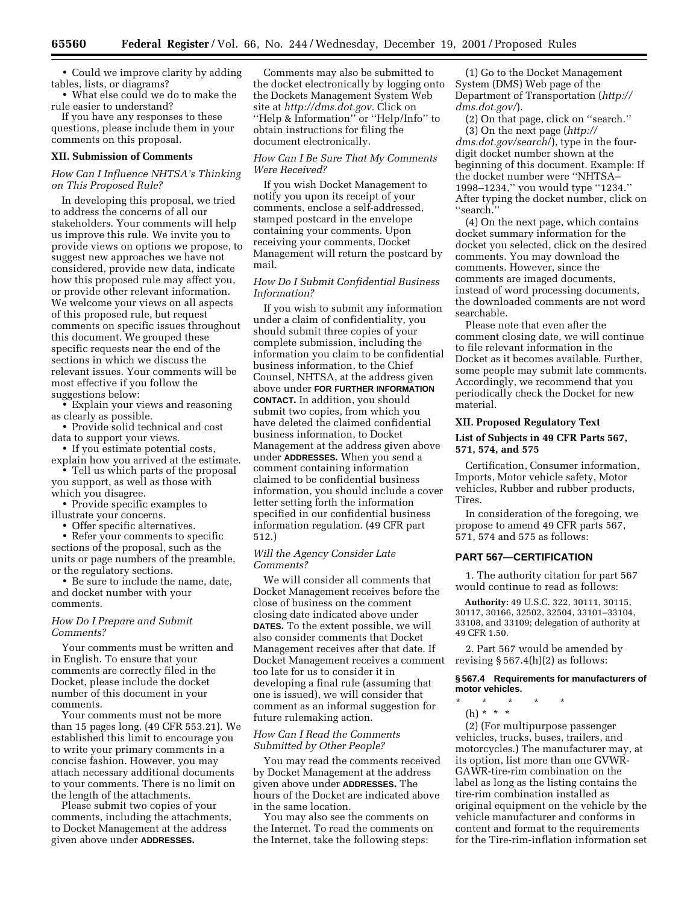• Could we improve clarity by adding tables, lists, or diagrams?

• What else could we do to make the rule easier to understand?

If you have any responses to these questions, please include them in your comments on this proposal.

#### **XII. Submission of Comments**

## *How Can I Influence NHTSA's Thinking on This Proposed Rule?*

In developing this proposal, we tried to address the concerns of all our stakeholders. Your comments will help us improve this rule. We invite you to provide views on options we propose, to suggest new approaches we have not considered, provide new data, indicate how this proposed rule may affect you, or provide other relevant information. We welcome your views on all aspects of this proposed rule, but request comments on specific issues throughout this document. We grouped these specific requests near the end of the sections in which we discuss the relevant issues. Your comments will be most effective if you follow the suggestions below:

• Explain your views and reasoning as clearly as possible.

• Provide solid technical and cost data to support your views.

• If you estimate potential costs, explain how you arrived at the estimate.

• Tell us which parts of the proposal you support, as well as those with which you disagree.

• Provide specific examples to illustrate your concerns.

• Offer specific alternatives.

• Refer your comments to specific sections of the proposal, such as the units or page numbers of the preamble, or the regulatory sections.

• Be sure to include the name, date, and docket number with your comments.

## *How Do I Prepare and Submit Comments?*

Your comments must be written and in English. To ensure that your comments are correctly filed in the Docket, please include the docket number of this document in your comments.

Your comments must not be more than 15 pages long. (49 CFR 553.21). We established this limit to encourage you to write your primary comments in a concise fashion. However, you may attach necessary additional documents to your comments. There is no limit on the length of the attachments.

Please submit two copies of your comments, including the attachments, to Docket Management at the address given above under **ADDRESSES.**

Comments may also be submitted to the docket electronically by logging onto the Dockets Management System Web site at *http://dms.dot.gov.* Click on ''Help & Information'' or ''Help/Info'' to obtain instructions for filing the document electronically.

## *How Can I Be Sure That My Comments Were Received?*

If you wish Docket Management to notify you upon its receipt of your comments, enclose a self-addressed, stamped postcard in the envelope containing your comments. Upon receiving your comments, Docket Management will return the postcard by mail.

## *How Do I Submit Confidential Business Information?*

If you wish to submit any information under a claim of confidentiality, you should submit three copies of your complete submission, including the information you claim to be confidential business information, to the Chief Counsel, NHTSA, at the address given above under **FOR FURTHER INFORMATION CONTACT.** In addition, you should submit two copies, from which you have deleted the claimed confidential business information, to Docket Management at the address given above under **ADDRESSES.** When you send a comment containing information claimed to be confidential business information, you should include a cover letter setting forth the information specified in our confidential business information regulation. (49 CFR part 512.)

## *Will the Agency Consider Late Comments?*

We will consider all comments that Docket Management receives before the close of business on the comment closing date indicated above under **DATES.** To the extent possible, we will also consider comments that Docket Management receives after that date. If Docket Management receives a comment too late for us to consider it in developing a final rule (assuming that one is issued), we will consider that comment as an informal suggestion for future rulemaking action.

## *How Can I Read the Comments Submitted by Other People?*

You may read the comments received by Docket Management at the address given above under **ADDRESSES.** The hours of the Docket are indicated above in the same location.

You may also see the comments on the Internet. To read the comments on the Internet, take the following steps:

(1) Go to the Docket Management System (DMS) Web page of the Department of Transportation (*http:// dms.dot.gov/*).

(2) On that page, click on ''search.'' (3) On the next page (*http:// dms.dot.gov/search*/), type in the fourdigit docket number shown at the beginning of this document. Example: If the docket number were ''NHTSA– 1998–1234,'' you would type ''1234.'' After typing the docket number, click on ''search.''

(4) On the next page, which contains docket summary information for the docket you selected, click on the desired comments. You may download the comments. However, since the comments are imaged documents, instead of word processing documents, the downloaded comments are not word searchable.

Please note that even after the comment closing date, we will continue to file relevant information in the Docket as it becomes available. Further, some people may submit late comments. Accordingly, we recommend that you periodically check the Docket for new material.

#### **XII. Proposed Regulatory Text**

## **List of Subjects in 49 CFR Parts 567, 571, 574, and 575**

Certification, Consumer information, Imports, Motor vehicle safety, Motor vehicles, Rubber and rubber products, Tires.

In consideration of the foregoing, we propose to amend 49 CFR parts 567, 571, 574 and 575 as follows:

## **PART 567—CERTIFICATION**

1. The authority citation for part 567 would continue to read as follows:

**Authority:** 49 U.S.C. 322, 30111, 30115, 30117, 30166, 32502, 32504, 33101–33104, 33108, and 33109; delegation of authority at 49 CFR 1.50.

2. Part 567 would be amended by revising  $\S 567.4(h)(2)$  as follows:

## **§ 567.4 Requirements for manufacturers of motor vehicles.**

- \* \* \* \* \*
	- (h) \* \* \*

(2) (For multipurpose passenger vehicles, trucks, buses, trailers, and motorcycles.) The manufacturer may, at its option, list more than one GVWR-GAWR-tire-rim combination on the label as long as the listing contains the tire-rim combination installed as original equipment on the vehicle by the vehicle manufacturer and conforms in content and format to the requirements for the Tire-rim-inflation information set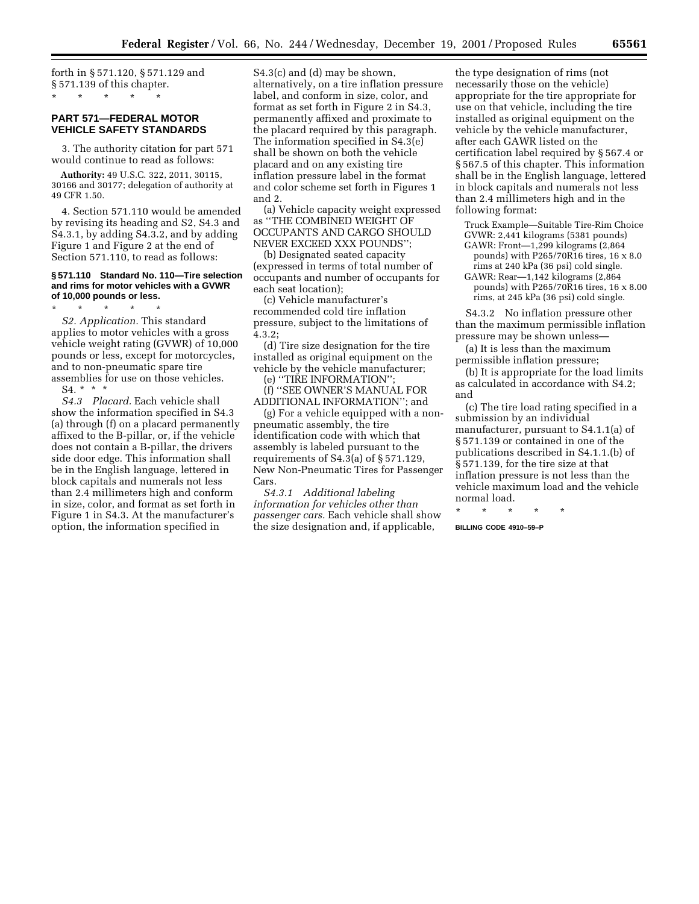forth in § 571.120, § 571.129 and § 571.139 of this chapter. \* \* \* \* \*

## **PART 571—FEDERAL MOTOR VEHICLE SAFETY STANDARDS**

3. The authority citation for part 571 would continue to read as follows:

**Authority:** 49 U.S.C. 322, 2011, 30115, 30166 and 30177; delegation of authority at 49 CFR 1.50.

4. Section 571.110 would be amended by revising its heading and S2, S4.3 and S4.3.1, by adding S4.3.2, and by adding Figure 1 and Figure 2 at the end of Section 571.110, to read as follows:

#### **§ 571.110 Standard No. 110—Tire selection and rims for motor vehicles with a GVWR of 10,000 pounds or less.**

\* \* \* \* \*

*S2. Application.* This standard applies to motor vehicles with a gross vehicle weight rating (GVWR) of 10,000 pounds or less, except for motorcycles, and to non-pneumatic spare tire assemblies for use on those vehicles. S4. \* \* \*

*S4.3 Placard.* Each vehicle shall show the information specified in S4.3 (a) through (f) on a placard permanently affixed to the B-pillar, or, if the vehicle does not contain a B-pillar, the drivers side door edge. This information shall be in the English language, lettered in block capitals and numerals not less than 2.4 millimeters high and conform in size, color, and format as set forth in Figure 1 in S4.3. At the manufacturer's option, the information specified in

S4.3(c) and (d) may be shown, alternatively, on a tire inflation pressure label, and conform in size, color, and format as set forth in Figure 2 in S4.3, permanently affixed and proximate to the placard required by this paragraph. The information specified in S4.3(e) shall be shown on both the vehicle placard and on any existing tire inflation pressure label in the format and color scheme set forth in Figures 1 and 2.

(a) Vehicle capacity weight expressed as ''THE COMBINED WEIGHT OF OCCUPANTS AND CARGO SHOULD NEVER EXCEED XXX POUNDS'';

(b) Designated seated capacity (expressed in terms of total number of occupants and number of occupants for each seat location);

(c) Vehicle manufacturer's recommended cold tire inflation pressure, subject to the limitations of 4.3.2;

(d) Tire size designation for the tire installed as original equipment on the vehicle by the vehicle manufacturer;

(e) ''TIRE INFORMATION'';

(f) ''SEE OWNER'S MANUAL FOR ADDITIONAL INFORMATION''; and

(g) For a vehicle equipped with a nonpneumatic assembly, the tire identification code with which that assembly is labeled pursuant to the requirements of S4.3(a) of § 571.129, New Non-Pneumatic Tires for Passenger Cars.

*S4.3.1 Additional labeling information for vehicles other than passenger cars.* Each vehicle shall show the size designation and, if applicable,

the type designation of rims (not necessarily those on the vehicle) appropriate for the tire appropriate for use on that vehicle, including the tire installed as original equipment on the vehicle by the vehicle manufacturer, after each GAWR listed on the certification label required by § 567.4 or § 567.5 of this chapter. This information shall be in the English language, lettered in block capitals and numerals not less than 2.4 millimeters high and in the following format:

Truck Example—Suitable Tire-Rim Choice GVWR: 2,441 kilograms (5381 pounds)

- GAWR: Front—1,299 kilograms (2,864 pounds) with P265/70R16 tires, 16 x 8.0 rims at 240 kPa (36 psi) cold single. GAWR: Rear—1,142 kilograms (2,864
- pounds) with P265/70R16 tires, 16 x 8.00 rims, at 245 kPa (36 psi) cold single.

S4.3.2 No inflation pressure other than the maximum permissible inflation pressure may be shown unless—

(a) It is less than the maximum permissible inflation pressure;

(b) It is appropriate for the load limits as calculated in accordance with S4.2; and

(c) The tire load rating specified in a submission by an individual manufacturer, pursuant to S4.1.1(a) of § 571.139 or contained in one of the publications described in S4.1.1.(b) of § 571.139, for the tire size at that inflation pressure is not less than the vehicle maximum load and the vehicle normal load.

\* \* \* \* \* **BILLING CODE 4910–59–P**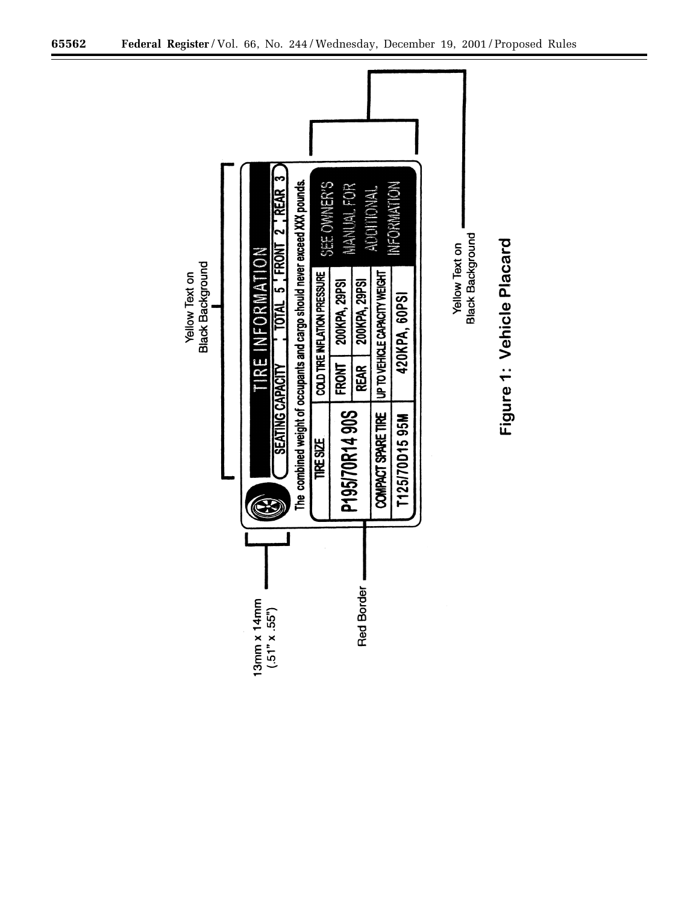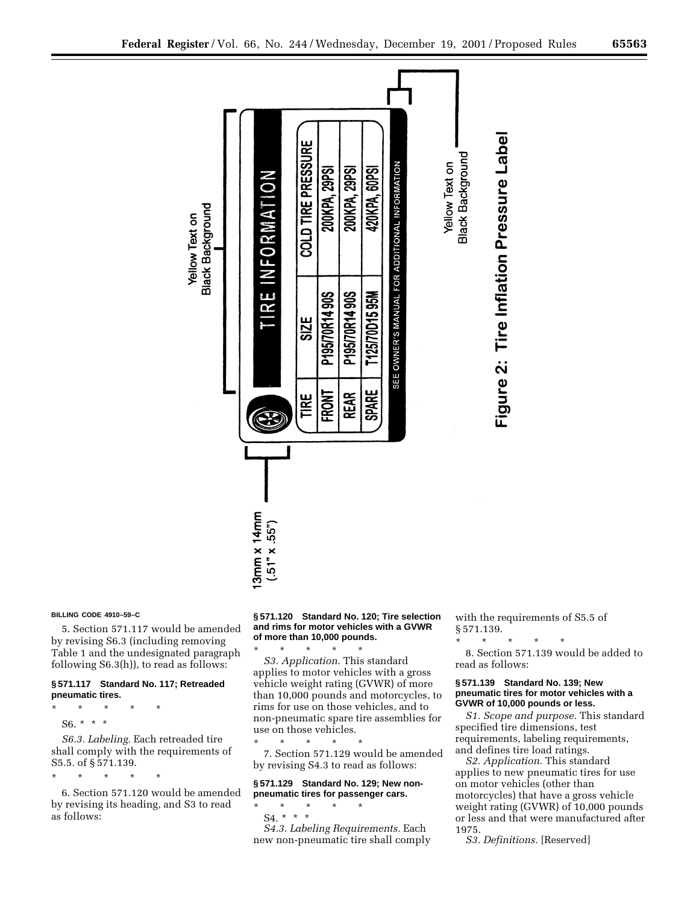

#### **BILLING CODE 4910–59–C**

5. Section 571.117 would be amended by revising S6.3 (including removing Table 1 and the undesignated paragraph following S6.3(h)), to read as follows:

## **§ 571.117 Standard No. 117; Retreaded pneumatic tires.**

\* \* \* \* \* S6. \* \* \*

*S6.3. Labeling.* Each retreaded tire shall comply with the requirements of S5.5. of § 571.139.

\* \* \* \* \*

6. Section 571.120 would be amended by revising its heading, and S3 to read as follows:

#### **§ 571.120 Standard No. 120; Tire selection and rims for motor vehicles with a GVWR of more than 10,000 pounds.**

\* \* \* \* \* *S3. Application.* This standard applies to motor vehicles with a gross vehicle weight rating (GVWR) of more than 10,000 pounds and motorcycles, to rims for use on those vehicles, and to non-pneumatic spare tire assemblies for use on those vehicles.

\* \* \* \* \* 7. Section 571.129 would be amended by revising S4.3 to read as follows:

## **§ 571.129 Standard No. 129; New nonpneumatic tires for passenger cars.**

\* \* \* \* \* S4. \* \* \*

*S4.3. Labeling Requirements.* Each new non-pneumatic tire shall comply with the requirements of S5.5 of § 571.139.

\* \* \* \* \*

8. Section 571.139 would be added to read as follows:

#### **§ 571.139 Standard No. 139; New pneumatic tires for motor vehicles with a GVWR of 10,000 pounds or less.**

*S1. Scope and purpose.* This standard specified tire dimensions, test requirements, labeling requirements, and defines tire load ratings.

*S2. Application.* This standard applies to new pneumatic tires for use on motor vehicles (other than motorcycles) that have a gross vehicle weight rating (GVWR) of 10,000 pounds or less and that were manufactured after 1975.

*S3. Definitions.* [Reserved]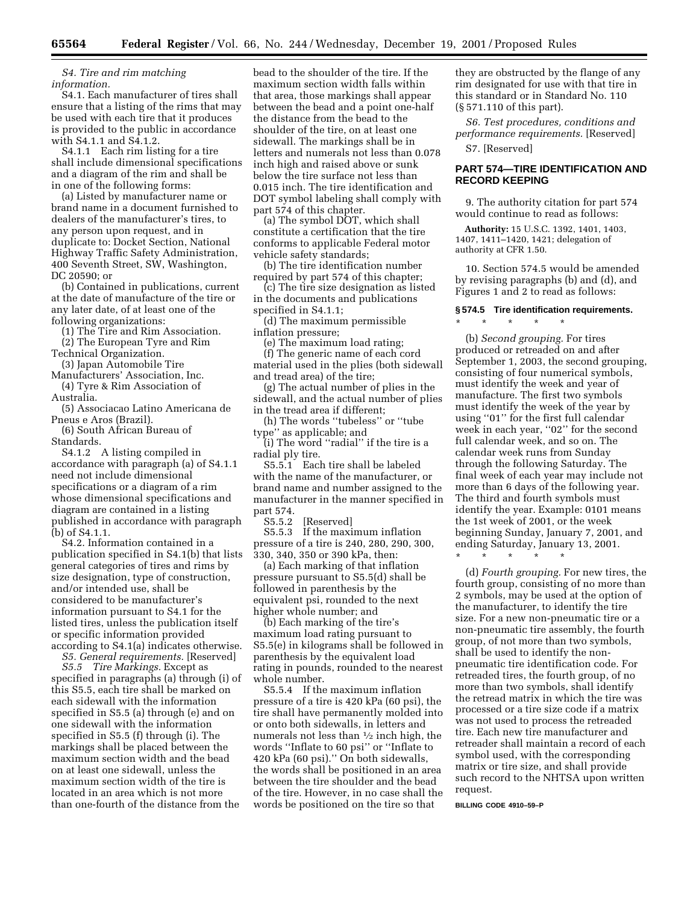*S4. Tire and rim matching information.*

S4.1. Each manufacturer of tires shall ensure that a listing of the rims that may be used with each tire that it produces is provided to the public in accordance with S4.1.1 and S4.1.2.

S4.1.1 Each rim listing for a tire shall include dimensional specifications and a diagram of the rim and shall be in one of the following forms:

(a) Listed by manufacturer name or brand name in a document furnished to dealers of the manufacturer's tires, to any person upon request, and in duplicate to: Docket Section, National Highway Traffic Safety Administration, 400 Seventh Street, SW, Washington, DC 20590; or

(b) Contained in publications, current at the date of manufacture of the tire or any later date, of at least one of the following organizations:

(1) The Tire and Rim Association. (2) The European Tyre and Rim

Technical Organization.

(3) Japan Automobile Tire

Manufacturers' Association, Inc. (4) Tyre & Rim Association of

Australia.

(5) Associacao Latino Americana de Pneus e Aros (Brazil).

(6) South African Bureau of Standards.

S4.1.2 A listing compiled in accordance with paragraph (a) of S4.1.1 need not include dimensional specifications or a diagram of a rim whose dimensional specifications and diagram are contained in a listing published in accordance with paragraph (b) of S4.1.1.

S4.2. Information contained in a publication specified in S4.1(b) that lists general categories of tires and rims by size designation, type of construction, and/or intended use, shall be considered to be manufacturer's information pursuant to S4.1 for the listed tires, unless the publication itself or specific information provided according to S4.1(a) indicates otherwise.

*S5. General requirements.* [Reserved]

*S5.5 Tire Markings.* Except as specified in paragraphs (a) through (i) of this S5.5, each tire shall be marked on each sidewall with the information specified in S5.5 (a) through (e) and on one sidewall with the information specified in S5.5 (f) through (i). The markings shall be placed between the maximum section width and the bead on at least one sidewall, unless the maximum section width of the tire is located in an area which is not more than one-fourth of the distance from the

bead to the shoulder of the tire. If the maximum section width falls within that area, those markings shall appear between the bead and a point one-half the distance from the bead to the shoulder of the tire, on at least one sidewall. The markings shall be in letters and numerals not less than 0.078 inch high and raised above or sunk below the tire surface not less than 0.015 inch. The tire identification and DOT symbol labeling shall comply with part 574 of this chapter.

(a) The symbol DOT, which shall constitute a certification that the tire conforms to applicable Federal motor vehicle safety standards;

(b) The tire identification number required by part 574 of this chapter;

(c) The tire size designation as listed in the documents and publications specified in S4.1.1;

(d) The maximum permissible inflation pressure;

(e) The maximum load rating;

(f) The generic name of each cord material used in the plies (both sidewall and tread area) of the tire;

(g) The actual number of plies in the sidewall, and the actual number of plies in the tread area if different;

(h) The words ''tubeless'' or ''tube type'' as applicable; and

(i) The word ''radial'' if the tire is a radial ply tire.

S5.5.1 Each tire shall be labeled with the name of the manufacturer, or brand name and number assigned to the manufacturer in the manner specified in part 574.

S5.5.2 [Reserved]

S5.5.3 If the maximum inflation pressure of a tire is 240, 280, 290, 300, 330, 340, 350 or 390 kPa, then:

(a) Each marking of that inflation pressure pursuant to S5.5(d) shall be followed in parenthesis by the equivalent psi, rounded to the next higher whole number; and

(b) Each marking of the tire's maximum load rating pursuant to S5.5(e) in kilograms shall be followed in parenthesis by the equivalent load rating in pounds, rounded to the nearest whole number.

S5.5.4 If the maximum inflation pressure of a tire is 420 kPa (60 psi), the tire shall have permanently molded into or onto both sidewalls, in letters and numerals not less than 1⁄2 inch high, the words ''Inflate to 60 psi'' or ''Inflate to 420 kPa (60 psi).'' On both sidewalls, the words shall be positioned in an area between the tire shoulder and the bead of the tire. However, in no case shall the words be positioned on the tire so that

they are obstructed by the flange of any rim designated for use with that tire in this standard or in Standard No. 110 (§ 571.110 of this part).

*S6. Test procedures, conditions and performance requirements.* [Reserved]

S7. [Reserved]

\* \* \* \* \*

## **PART 574—TIRE IDENTIFICATION AND RECORD KEEPING**

9. The authority citation for part 574 would continue to read as follows:

**Authority:** 15 U.S.C. 1392, 1401, 1403, 1407, 1411–1420, 1421; delegation of authority at CFR 1.50.

10. Section 574.5 would be amended by revising paragraphs (b) and (d), and Figures 1 and 2 to read as follows:

## **§ 574.5 Tire identification requirements.**

(b) *Second grouping.* For tires produced or retreaded on and after September 1, 2003, the second grouping, consisting of four numerical symbols, must identify the week and year of manufacture. The first two symbols must identify the week of the year by using "01" for the first full calendar week in each year, ''02'' for the second full calendar week, and so on. The calendar week runs from Sunday through the following Saturday. The final week of each year may include not more than 6 days of the following year. The third and fourth symbols must identify the year. Example: 0101 means the 1st week of 2001, or the week beginning Sunday, January 7, 2001, and ending Saturday, January 13, 2001.

\* \* \* \* \*

(d) *Fourth grouping.* For new tires, the fourth group, consisting of no more than 2 symbols, may be used at the option of the manufacturer, to identify the tire size. For a new non-pneumatic tire or a non-pneumatic tire assembly, the fourth group, of not more than two symbols, shall be used to identify the nonpneumatic tire identification code. For retreaded tires, the fourth group, of no more than two symbols, shall identify the retread matrix in which the tire was processed or a tire size code if a matrix was not used to process the retreaded tire. Each new tire manufacturer and retreader shall maintain a record of each symbol used, with the corresponding matrix or tire size, and shall provide such record to the NHTSA upon written request.

#### **BILLING CODE 4910–59–P**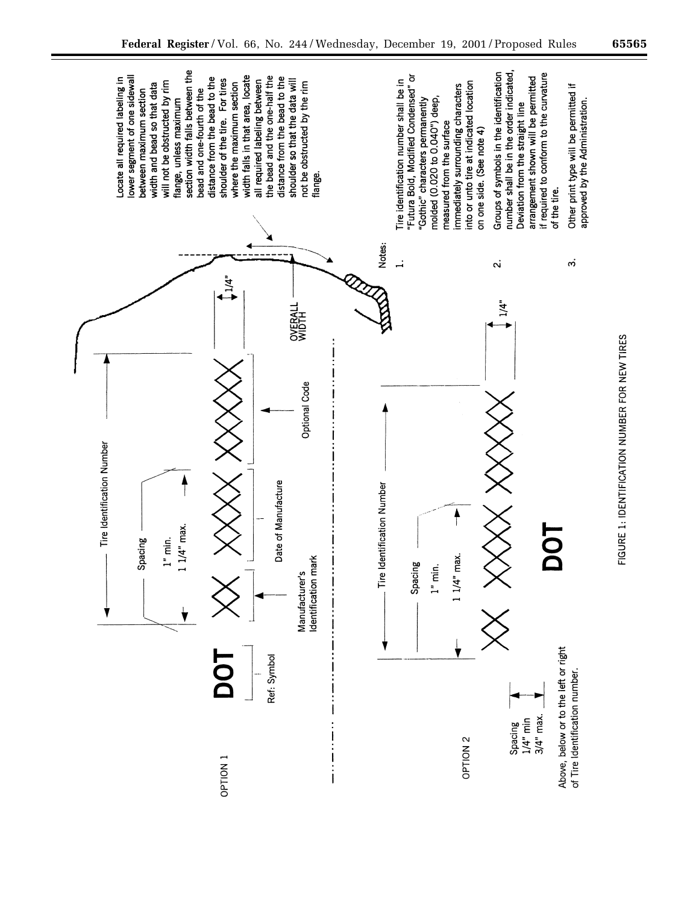

FIGURE 1: IDENTIFICATION NUMBER FOR NEW TIRES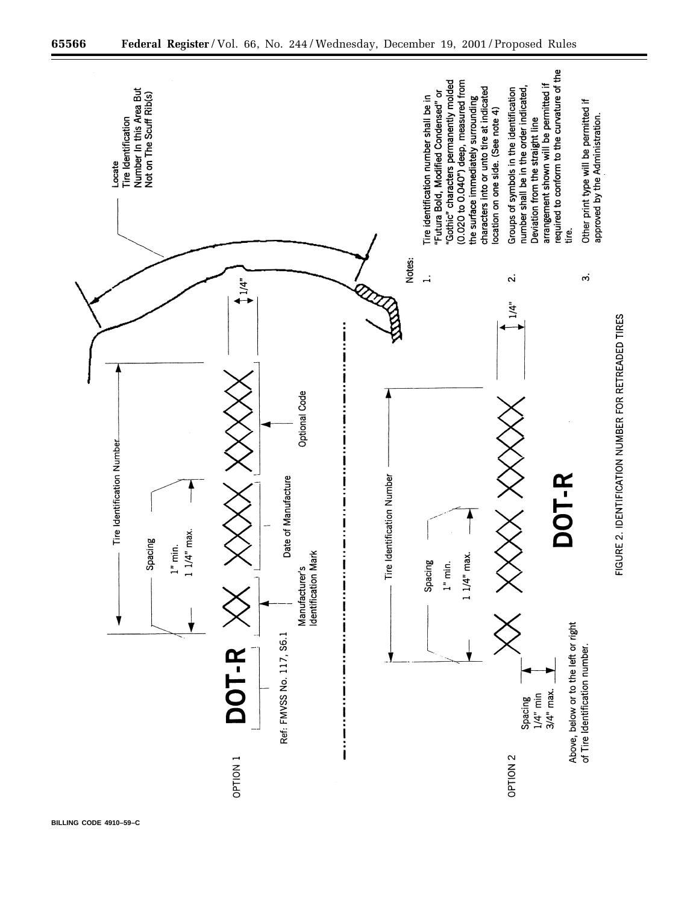

**BILLING CODE 4910–59–C**